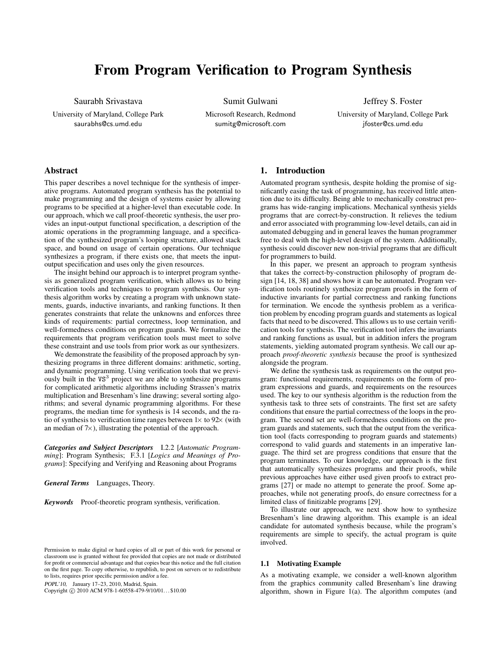# From Program Verification to Program Synthesis

Saurabh Srivastava

University of Maryland, College Park saurabhs@cs.umd.edu

Sumit Gulwani

Microsoft Research, Redmond sumitg@microsoft.com

Jeffrey S. Foster University of Maryland, College Park jfoster@cs.umd.edu

# Abstract

This paper describes a novel technique for the synthesis of imperative programs. Automated program synthesis has the potential to make programming and the design of systems easier by allowing programs to be specified at a higher-level than executable code. In our approach, which we call proof-theoretic synthesis, the user provides an input-output functional specification, a description of the atomic operations in the programming language, and a specification of the synthesized program's looping structure, allowed stack space, and bound on usage of certain operations. Our technique synthesizes a program, if there exists one, that meets the inputoutput specification and uses only the given resources.

The insight behind our approach is to interpret program synthesis as generalized program verification, which allows us to bring verification tools and techniques to program synthesis. Our synthesis algorithm works by creating a program with unknown statements, guards, inductive invariants, and ranking functions. It then generates constraints that relate the unknowns and enforces three kinds of requirements: partial correctness, loop termination, and well-formedness conditions on program guards. We formalize the requirements that program verification tools must meet to solve these constraint and use tools from prior work as our synthesizers.

We demonstrate the feasibility of the proposed approach by synthesizing programs in three different domains: arithmetic, sorting, and dynamic programming. Using verification tools that we previously built in the VS<sup>3</sup> project we are able to synthesize programs for complicated arithmetic algorithms including Strassen's matrix multiplication and Bresenham's line drawing; several sorting algorithms; and several dynamic programming algorithms. For these programs, the median time for synthesis is 14 seconds, and the ratio of synthesis to verification time ranges between  $1\times$  to 92 $\times$  (with an median of  $7\times$ ), illustrating the potential of the approach.

*Categories and Subject Descriptors* I.2.2 [*Automatic Programming*]: Program Synthesis; F.3.1 [*Logics and Meanings of Programs*]: Specifying and Verifying and Reasoning about Programs

*General Terms* Languages, Theory.

*Keywords* Proof-theoretic program synthesis, verification.

POPL'10, January 17–23, 2010, Madrid, Spain.

Copyright © 2010 ACM 978-1-60558-479-9/10/01... \$10.00

# 1. Introduction

Automated program synthesis, despite holding the promise of significantly easing the task of programming, has received little attention due to its difficulty. Being able to mechanically construct programs has wide-ranging implications. Mechanical synthesis yields programs that are correct-by-construction. It relieves the tedium and error associated with programming low-level details, can aid in automated debugging and in general leaves the human programmer free to deal with the high-level design of the system. Additionally, synthesis could discover new non-trivial programs that are difficult for programmers to build.

In this paper, we present an approach to program synthesis that takes the correct-by-construction philosophy of program design [14, 18, 38] and shows how it can be automated. Program verification tools routinely synthesize program proofs in the form of inductive invariants for partial correctness and ranking functions for termination. We encode the synthesis problem as a verification problem by encoding program guards and statements as logical facts that need to be discovered. This allows us to use certain verification tools for synthesis. The verification tool infers the invariants and ranking functions as usual, but in addition infers the program statements, yielding automated program synthesis. We call our approach *proof-theoretic synthesis* because the proof is synthesized alongside the program.

We define the synthesis task as requirements on the output program: functional requirements, requirements on the form of program expressions and guards, and requirements on the resources used. The key to our synthesis algorithm is the reduction from the synthesis task to three sets of constraints. The first set are safety conditions that ensure the partial correctness of the loops in the program. The second set are well-formedness conditions on the program guards and statements, such that the output from the verification tool (facts corresponding to program guards and statements) correspond to valid guards and statements in an imperative language. The third set are progress conditions that ensure that the program terminates. To our knowledge, our approach is the first that automatically synthesizes programs and their proofs, while previous approaches have either used given proofs to extract programs [27] or made no attempt to generate the proof. Some approaches, while not generating proofs, do ensure correctness for a limited class of finitizable programs [29].

To illustrate our approach, we next show how to synthesize Bresenham's line drawing algorithm. This example is an ideal candidate for automated synthesis because, while the program's requirements are simple to specify, the actual program is quite involved.

#### 1.1 Motivating Example

As a motivating example, we consider a well-known algorithm from the graphics community called Bresenham's line drawing algorithm, shown in Figure 1(a). The algorithm computes (and

Permission to make digital or hard copies of all or part of this work for personal or classroom use is granted without fee provided that copies are not made or distributed for profit or commercial advantage and that copies bear this notice and the full citation on the first page. To copy otherwise, to republish, to post on servers or to redistribute to lists, requires prior specific permission and/or a fee.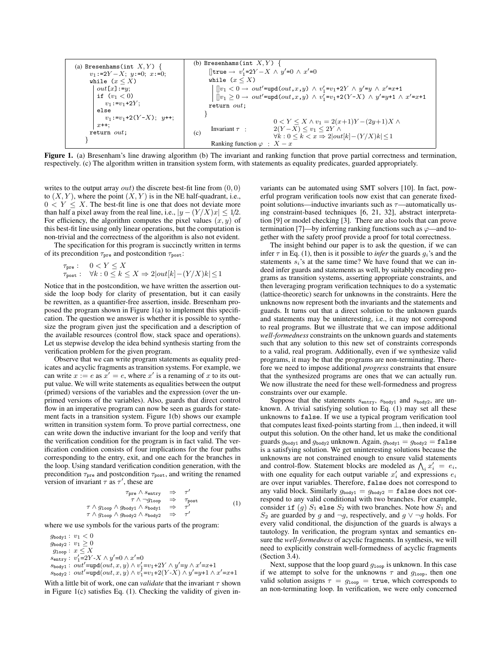| (a) Bresenhams (int $X, Y$ ) {               | (b) Bresenhams (int $X, Y$ )                                                                                                |
|----------------------------------------------|-----------------------------------------------------------------------------------------------------------------------------|
| $v_1:=2Y-X$ ; $u:=0$ ; $x:=0$ ;              | $\parallel$ true $\rightarrow v'_1$ =2 $Y-X \wedge y'$ =0 $\wedge x'$ =0                                                    |
| while $(x < X)$                              | while $(x < X)$                                                                                                             |
| $out[x] := y;$                               | $[ v_1 \times 0 \rightarrow out'$ =upd $(out, x, y) \wedge v'_1 = v_1 + 2Y \wedge y' = y \wedge x' = x + 1]$                |
| if $(v_1 < 0)$                               | $[]v_1 \geq 0 \rightarrow out'$ =upd( <i>out,x,y</i> ) $\land v'_1$ =v <sub>1</sub> +2(Y-X) $\land y'$ =y+1 $\land x'$ =x+1 |
| $v_1 := v_1 + 2Y$ ;                          | return $out;$                                                                                                               |
| else                                         |                                                                                                                             |
| $v_1 := v_1 + 2(Y-X);$ $y_{1} + \frac{1}{2}$ | $0 < Y \leq X \wedge v_1 = 2(x+1)Y-(2y+1)X \wedge$                                                                          |
| $x++$<br>return $out$ ;                      | $2(Y-X) \le v_1 \le 2Y \wedge$<br>Invariant $\tau$ :                                                                        |
|                                              | (c)<br>$\forall k: 0 \leq k \leq x \Rightarrow 2 out[k] - (Y/X)k  \leq 1$                                                   |
|                                              | Ranking function $\varphi : X - x$                                                                                          |

Figure 1. (a) Bresenham's line drawing algorithm (b) The invariant and ranking function that prove partial correctness and termination, respectively. (c) The algorithm written in transition system form, with statements as equality predicates, guarded appropriately.

writes to the output array *out*) the discrete best-fit line from  $(0, 0)$ to  $(X, Y)$ , where the point  $(X, Y)$  is in the NE half-quadrant, i.e.,  $0 \lt Y \leq X$ . The best-fit line is one that does not deviate more than half a pixel away from the real line, i.e.,  $|y - (Y/X)x| \leq 1/2$ . For efficiency, the algorithm computes the pixel values  $(x, y)$  of this best-fit line using only linear operations, but the computation is non-trivial and the correctness of the algorithm is also not evident.

The specification for this program is succinctly written in terms of its precondition  $\tau_{pre}$  and postcondition  $\tau_{post}$ :

$$
\begin{array}{ll} \tau_{\tt pre}: & 0 < Y \leq X \\ \tau_{\tt post}: & \forall k: 0 \leq k \leq X \Rightarrow 2|out[k] - (Y/X)k| \leq 1 \end{array}
$$

Notice that in the postcondition, we have written the assertion outside the loop body for clarity of presentation, but it can easily be rewritten, as a quantifier-free assertion, inside. Bresenham proposed the program shown in Figure 1(a) to implement this specification. The question we answer is whether it is possible to synthesize the program given just the specification and a description of the available resources (control flow, stack space and operations). Let us stepwise develop the idea behind synthesis starting from the verification problem for the given program.

Observe that we can write program statements as equality predicates and acyclic fragments as transition systems. For example, we can write  $x := e$  as  $x' = e$ , where x' is a renaming of x to its output value. We will write statements as equalities between the output (primed) versions of the variables and the expression (over the unprimed versions of the variables). Also, guards that direct control flow in an imperative program can now be seen as guards for statement facts in a transition system. Figure 1(b) shows our example written in transition system form. To prove partial correctness, one can write down the inductive invariant for the loop and verify that the verification condition for the program is in fact valid. The verification condition consists of four implications for the four paths corresponding to the entry, exit, and one each for the branches in the loop. Using standard verification condition generation, with the precondition  $\tau_{\text{pre}}$  and postcondition  $\tau_{\text{post}}$ , and writing the renamed version of invariant  $\tau$  as  $\tau'$ , these are

$$
\tau_{\text{pre}} \land s_{\text{entry}} \Rightarrow \tau'
$$
\n
$$
\tau \land \neg g_{\text{loop}} \Rightarrow \tau_{\text{post}}
$$
\n
$$
\tau \land g_{\text{loop}} \land g_{\text{body1}} \land s_{\text{body1}} \Rightarrow \tau'
$$
\n
$$
\tau \land g_{\text{loop}} \land g_{\text{body2}} \land s_{\text{body2}} \Rightarrow \tau'
$$
\n
$$
(1)
$$

where we use symbols for the various parts of the program:

 $g_{\text{body1}}: v_1 < 0$  $g_{\text{body2}}: v_1 \geq 0$  $g_{\texttt{loop}}: x \leq X$  $s_{\text{entry}}: v_1' = 2Y - X \wedge y' = 0 \wedge x' = 0$  $s_\text{body1}$ :  $out'\text{=upd}(out, x, y) \land v'_1\text{=}v_1\text{+}2Y \land y'\text{=}y \land x'\text{=}x\text{+}1$  $s_{\text{body2}}: out'=\text{upd}(out, x, y) \wedge v_1^{\dagger} = v_1 + 2(Y \cdot X) \wedge y' = y + 1 \wedge x' = x + 1$ 

With a little bit of work, one can *validate* that the invariant  $\tau$  shown in Figure 1(c) satisfies Eq. (1). Checking the validity of given invariants can be automated using SMT solvers [10]. In fact, powerful program verification tools now exist that can generate fixedpoint solutions—inductive invariants such as  $\tau$ —automatically using constraint-based techniques [6, 21, 32], abstract interpretation [9] or model checking [3]. There are also tools that can prove termination [7]—by inferring ranking functions such as  $\varphi$ —and together with the safety proof provide a proof for total correctness.

The insight behind our paper is to ask the question, if we can infer  $\tau$  in Eq. (1), then is it possible to *infer* the guards  $g_i$ 's and the statements  $s_i$ 's at the same time? We have found that we can indeed infer guards and statements as well, by suitably encoding programs as transition systems, asserting appropriate constraints, and then leveraging program verification techniques to do a systematic (lattice-theoretic) search for unknowns in the constraints. Here the unknowns now represent both the invariants and the statements and guards. It turns out that a direct solution to the unknown guards and statements may be uninteresting, i.e., it may not correspond to real programs. But we illustrate that we can impose additional *well-formedness* constraints on the unknown guards and statements such that any solution to this new set of constraints corresponds to a valid, real program. Additionally, even if we synthesize valid programs, it may be that the programs are non-terminating. Therefore we need to impose additional *progress* constraints that ensure that the synthesized programs are ones that we can actually run. We now illustrate the need for these well-formedness and progress constraints over our example.

Suppose that the statements  $s_{\text{entry}}$ ,  $s_{\text{body1}}$  and  $s_{\text{body2}}$ , are unknown. A trivial satisfying solution to Eq. (1) may set all these unknowns to false. If we use a typical program verification tool that computes least fixed-points starting from  $\bot$ , then indeed, it will output this solution. On the other hand, let us make the conditional guards  $g_{\text{body1}}$  and  $g_{\text{body2}}$  unknown. Again,  $g_{\text{body1}} = g_{\text{body2}} = \text{false}$ is a satisfying solution. We get uninteresting solutions because the unknowns are not constrained enough to ensure valid statements and control-flow. Statement blocks are modeled as  $\bigwedge_i x'_i = e_i$ , with one equality for each output variable  $x'_i$  and expressions  $e_i$ are over input variables. Therefore, false does not correspond to any valid block. Similarly  $g_{\text{body1}} = g_{\text{body2}} = \text{false}$  does not correspond to any valid conditional with two branches. For example, consider if  $(g)$   $S_1$  else  $S_2$  with two branches. Note how  $S_1$  and S<sub>2</sub> are guarded by g and  $\neg g$ , respectively, and  $g \vee \neg g$  holds. For every valid conditional, the disjunction of the guards is always a tautology. In verification, the program syntax and semantics ensure the *well-formedness* of acyclic fragments. In synthesis, we will need to explicitly constrain well-formedness of acyclic fragments (Section 3.4).

Next, suppose that the loop guard  $g_{\text{loop}}$  is unknown. In this case if we attempt to solve for the unknowns  $\tau$  and  $g_{\text{loop}}$ , then one valid solution assigns  $\tau = g_{\text{loop}} = \text{true}$ , which corresponds to an non-terminating loop. In verification, we were only concerned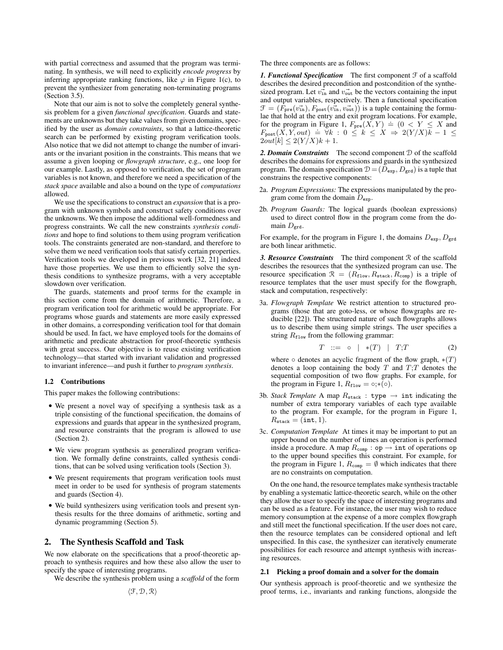with partial correctness and assumed that the program was terminating. In synthesis, we will need to explicitly *encode progress* by inferring appropriate ranking functions, like  $\varphi$  in Figure 1(c), to prevent the synthesizer from generating non-terminating programs (Section 3.5).

Note that our aim is not to solve the completely general synthesis problem for a given *functional specification*. Guards and statements are unknowns but they take values from given domains, specified by the user as *domain constraints*, so that a lattice-theoretic search can be performed by existing program verification tools. Also notice that we did not attempt to change the number of invariants or the invariant position in the constraints. This means that we assume a given looping or *flowgraph structure*, e.g., one loop for our example. Lastly, as opposed to verification, the set of program variables is not known, and therefore we need a specification of the *stack space* available and also a bound on the type of *computations* allowed.

We use the specifications to construct an *expansion* that is a program with unknown symbols and construct safety conditions over the unknowns. We then impose the additional well-formedness and progress constraints. We call the new constraints *synthesis conditions* and hope to find solutions to them using program verification tools. The constraints generated are non-standard, and therefore to solve them we need verification tools that satisfy certain properties. Verification tools we developed in previous work [32, 21] indeed have those properties. We use them to efficiently solve the synthesis conditions to synthesize programs, with a very acceptable slowdown over verification.

The guards, statements and proof terms for the example in this section come from the domain of arithmetic. Therefore, a program verification tool for arithmetic would be appropriate. For programs whose guards and statements are more easily expressed in other domains, a corresponding verification tool for that domain should be used. In fact, we have employed tools for the domains of arithmetic and predicate abstraction for proof-theoretic synthesis with great success. Our objective is to reuse existing verification technology—that started with invariant validation and progressed to invariant inference—and push it further to *program synthesis*.

#### 1.2 Contributions

This paper makes the following contributions:

- We present a novel way of specifying a synthesis task as a triple consisting of the functional specification, the domains of expressions and guards that appear in the synthesized program, and resource constraints that the program is allowed to use (Section 2).
- We view program synthesis as generalized program verification. We formally define constraints, called synthesis conditions, that can be solved using verification tools (Section 3).
- We present requirements that program verification tools must meet in order to be used for synthesis of program statements and guards (Section 4).
- We build synthesizers using verification tools and present synthesis results for the three domains of arithmetic, sorting and dynamic programming (Section 5).

# 2. The Synthesis Scaffold and Task

We now elaborate on the specifications that a proof-theoretic approach to synthesis requires and how these also allow the user to specify the space of interesting programs.

We describe the synthesis problem using a *scaffold* of the form

$$
\langle \mathcal{F}, \mathcal{D}, \mathcal{R} \rangle
$$

The three components are as follows:

*1. Functional Specification* The first component F of a scaffold describes the desired precondition and postcondition of the synthesized program. Let  $v_{in}$  and  $v_{out}$  be the vectors containing the input and output variables, respectively. Then a functional specification  $\mathcal{F} = (F_{\text{pre}}(v_{\text{in}}), F_{\text{post}}(v_{\text{in}}^*, v_{\text{out}}))$  is a tuple containing the formulae that hold at the entry and exit program locations. For example, for the program in Figure 1,  $F_{pre}(X, Y) = (0 \lt Y \leq X)$  and F<sub>post</sub> $(X, Y, out) \doteq \forall k : 0 \le k \le X \Rightarrow 2(Y/X)k - 1 \le$  $2out[k] \leq 2(Y/X)k + 1.$ 

*2. Domain Constraints* The second component D of the scaffold describes the domains for expressions and guards in the synthesized program. The domain specification  $\mathcal{D} = (D_{\text{exp}}, D_{\text{grd}})$  is a tuple that constrains the respective components:

- 2a. *Program Expressions:* The expressions manipulated by the program come from the domain  $D_{\text{exp}}$ .
- 2b. *Program Guards:* The logical guards (boolean expressions) used to direct control flow in the program come from the domain  $D_{\rm{grd}}.$

For example, for the program in Figure 1, the domains  $D_{\text{exp}}, D_{\text{grd}}$ are both linear arithmetic.

*3. Resource Constraints* The third component R of the scaffold describes the resources that the synthesized program can use. The resource specification  $\mathcal{R} = (R_{\text{flow}}, R_{\text{stack}}, R_{\text{comp}})$  is a triple of resource templates that the user must specify for the flowgraph, stack and computation, respectively:

3a. *Flowgraph Template* We restrict attention to structured programs (those that are goto-less, or whose flowgraphs are reducible [22]). The structured nature of such flowgraphs allows us to describe them using simple strings. The user specifies a string  $R_{\text{flow}}$  from the following grammar:

$$
T \quad ::= \quad \circ \quad | \quad * (T) \quad | \quad T; T \tag{2}
$$

where ∘ denotes an acyclic fragment of the flow graph,  $*(T)$ denotes a loop containing the body  $T$  and  $T$ ;  $T$  denotes the sequential composition of two flow graphs. For example, for the program in Figure 1,  $R_{flow} = \circ; *(\circ)$ .

- 3b. *Stack Template* A map  $R_{\text{stack}}$ : type  $\rightarrow$  int indicating the number of extra temporary variables of each type available to the program. For example, for the program in Figure 1,  $R_{\text{stack}} = (\text{int}, 1).$
- 3c. *Computation Template* At times it may be important to put an upper bound on the number of times an operation is performed inside a procedure. A map  $R_{\text{comp}}:$  op  $\rightarrow$  int of operations op to the upper bound specifies this constraint. For example, for the program in Figure 1,  $R_{\text{comp}} = \emptyset$  which indicates that there are no constraints on computation.

On the one hand, the resource templates make synthesis tractable by enabling a systematic lattice-theoretic search, while on the other they allow the user to specify the space of interesting programs and can be used as a feature. For instance, the user may wish to reduce memory consumption at the expense of a more complex flowgraph and still meet the functional specification. If the user does not care, then the resource templates can be considered optional and left unspecified. In this case, the synthesizer can iteratively enumerate possibilities for each resource and attempt synthesis with increasing resources.

#### 2.1 Picking a proof domain and a solver for the domain

Our synthesis approach is proof-theoretic and we synthesize the proof terms, i.e., invariants and ranking functions, alongside the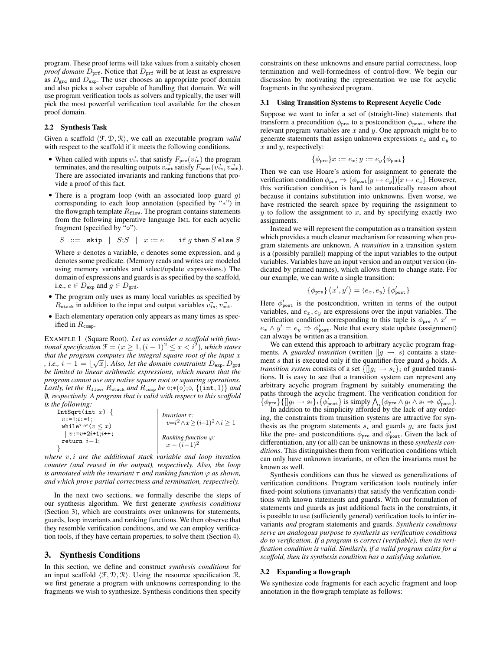program. These proof terms will take values from a suitably chosen *proof domain*  $D_{\text{prf}}$ . Notice that  $D_{\text{prf}}$  will be at least as expressive as  $D_{\text{grd}}$  and  $D_{\text{exp}}$ . The user chooses an appropriate proof domain and also picks a solver capable of handling that domain. We will use program verification tools as solvers and typically, the user will pick the most powerful verification tool available for the chosen proof domain.

#### 2.2 Synthesis Task

Given a scaffold  $\langle \mathcal{F}, \mathcal{D}, \mathcal{R} \rangle$ , we call an executable program *valid* with respect to the scaffold if it meets the following conditions.

- When called with inputs  $v_{in}$  that satisfy  $F_{pre}(v_{in}^{\rightarrow})$  the program terminates, and the resulting outputs  $v_{\text{out}}^{\uparrow}$  satisfy  $F_{\text{post}}(v_{\text{in}}^{\uparrow}, v_{\text{out}}^{\uparrow})$ . There are associated invariants and ranking functions that provide a proof of this fact.
- There is a program loop (with an associated loop guard  $q$ ) corresponding to each loop annotation (specified by "∗") in the flowgraph template  $R_{\text{flow}}$ . The program contains statements from the following imperative language IML for each acyclic fragment (specified by "∘").

$$
S \ ::= \ \mathtt{skip} \ | \ \ S;S \ | \ x := e \ | \ \mathtt{if} \ g \ \mathtt{then} \ S \ \mathtt{else} \ S
$$

Where  $x$  denotes a variable,  $e$  denotes some expression, and  $g$ denotes some predicate. (Memory reads and writes are modeled using memory variables and select/update expressions.) The domain of expressions and guards is as specified by the scaffold, i.e.,  $e \in D_{\text{exp}}$  and  $g \in D_{\text{grd}}$ .

- The program only uses as many local variables as specified by  $R_{\text{stack}}$  in addition to the input and output variables  $v_{\text{in}}^2$ ,  $v_{\text{out}}^2$ .
- Each elementary operation only appears as many times as specified in  $R_{\text{comp}}$ .

EXAMPLE 1 (Square Root). *Let us consider a scaffold with functional specification*  $\mathcal{F} = (x \geq 1, (i-1)^2 \leq x < i^2)$ , which states *that the program computes the integral square root of the input x , i.e.,*  $i-1 = \lfloor \sqrt{x} \rfloor$ . Also, let the domain constraints  $D_{\text{exp}}, D_{\text{grad}}$ *be limited to linear arithmetic expressions, which means that the program cannot use any native square root or squaring operations.* Lastly, let the  $R_{\text{flow}}$ ,  $R_{\text{stack}}$  and  $R_{\text{comp}}$  be  $\circ;*(\circ),\circ$ <sup>{</sup>(int, 1)} and ∅*, respectively. A program that is valid with respect to this scaffold is the following:*

| IntSqrt(int x) {<br>$v: = 1; i: = 1;$<br>while <sup><math>\tau, \varphi</math></sup> ( $v \leq x$ ) | <i>Invariant</i> $\tau$ :<br>$v=i^2 \wedge x \ge (i-1)^2 \wedge i \ge 1$ |
|-----------------------------------------------------------------------------------------------------|--------------------------------------------------------------------------|
| $ v:=v+2i+1;i++;$<br>return $i-1$ :                                                                 | Ranking function $\varphi$ :<br>$x-(i-1)^2$                              |
|                                                                                                     |                                                                          |

*where* v, i *are the additional stack variable and loop iteration counter (and reused in the output), respectively. Also, the loop is annotated with the invariant*  $\tau$  *and ranking function*  $\varphi$  *as shown, and which prove partial correctness and termination, respectively.*

In the next two sections, we formally describe the steps of our synthesis algorithm. We first generate *synthesis conditions* (Section 3), which are constraints over unknowns for statements, guards, loop invariants and ranking functions. We then observe that they resemble verification conditions, and we can employ verification tools, if they have certain properties, to solve them (Section 4).

## 3. Synthesis Conditions

In this section, we define and construct *synthesis conditions* for an input scaffold  $\langle \mathcal{F}, \mathcal{D}, \mathcal{R} \rangle$ . Using the resource specification  $\mathcal{R}$ , we first generate a program with unknowns corresponding to the fragments we wish to synthesize. Synthesis conditions then specify constraints on these unknowns and ensure partial correctness, loop termination and well-formedness of control-flow. We begin our discussion by motivating the representation we use for acyclic fragments in the synthesized program.

#### 3.1 Using Transition Systems to Represent Acyclic Code

Suppose we want to infer a set of (straight-line) statements that transform a precondition  $\phi_{pre}$  to a postcondition  $\phi_{post}$ , where the relevant program variables are  $x$  and  $y$ . One approach might be to generate statements that assign unknown expressions  $e_x$  and  $e_y$  to  $x$  and  $y$ , respectively:

$$
\{\phi_{\text{pre}}\}x := e_x; y := e_y\{\phi_{\text{post}}\}
$$

Then we can use Hoare's axiom for assignment to generate the verification condition  $\phi_{\text{pre}} \Rightarrow (\phi_{\text{post}}[y \mapsto e_y])[x \mapsto e_x]$ . However, this verification condition is hard to automatically reason about because it contains substitution into unknowns. Even worse, we have restricted the search space by requiring the assignment to  $y$  to follow the assignment to  $x$ , and by specifying exactly two assignments.

Instead we will represent the computation as a transition system which provides a much cleaner mechanism for reasoning when program statements are unknown. A *transition* in a transition system is a (possibly parallel) mapping of the input variables to the output variables. Variables have an input version and an output version (indicated by primed names), which allows them to change state. For our example, we can write a single transition:

$$
\{\phi_{\text{pre}}\}\langle x',y'\rangle = \langle e_x,e_y\rangle\,\{\phi_{\text{post}}'\}
$$

Here  $\phi'_{\text{post}}$  is the postcondition, written in terms of the output variables, and  $e_x, e_y$  are expressions over the input variables. The verification condition corresponding to this tuple is  $\phi_{pre} \wedge x' =$  $e_x \wedge y' = e_y \Rightarrow \phi'_{\text{post}}$ . Note that every state update (assignment) can always be written as a transition.

We can extend this approach to arbitrary acyclic program fragments. A *guarded transition* (written  $\left[ \right] g \rightarrow s$ ) contains a statement  $s$  that is executed only if the quantifier-free guard  $g$  holds. A *transition system* consists of a set  $\{[[g_i \rightarrow s_i]_i] \}$  of guarded transitions. It is easy to see that a transition system can represent any arbitrary acyclic program fragment by suitably enumerating the paths through the acyclic fragment. The verification condition for  $\{\phi_{\text{pre}}\}\{[g_i \rightarrow s_i\}_i \{\phi_{\text{post}}'\}$  is simply  $\bigwedge_i (\phi_{\text{pre}} \wedge g_i \wedge s_i \Rightarrow \phi_{\text{post}}').$ 

In addition to the simplicity afforded by the lack of any ordering, the constraints from transition systems are attractive for synthesis as the program statements  $s_i$  and guards  $g_i$  are facts just like the pre- and postconditions  $\phi_{\text{pre}}$  and  $\phi'_{\text{post}}$ . Given the lack of differentiation, any (or all) can be unknowns in these *synthesis conditions*. This distinguishes them from verification conditions which can only have unknown invariants, or often the invariants must be known as well.

Synthesis conditions can thus be viewed as generalizations of verification conditions. Program verification tools routinely infer fixed-point solutions (invariants) that satisfy the verification conditions with known statements and guards. With our formulation of statements and guards as just additional facts in the constraints, it is possible to use (sufficiently general) verification tools to infer invariants *and* program statements and guards. *Synthesis conditions serve an analogous purpose to synthesis as verification conditions do to verification. If a program is correct (verifiable), then its verification condition is valid. Similarly, if a valid program exists for a scaffold, then its synthesis condition has a satisfying solution.*

#### 3.2 Expanding a flowgraph

We synthesize code fragments for each acyclic fragment and loop annotation in the flowgraph template as follows: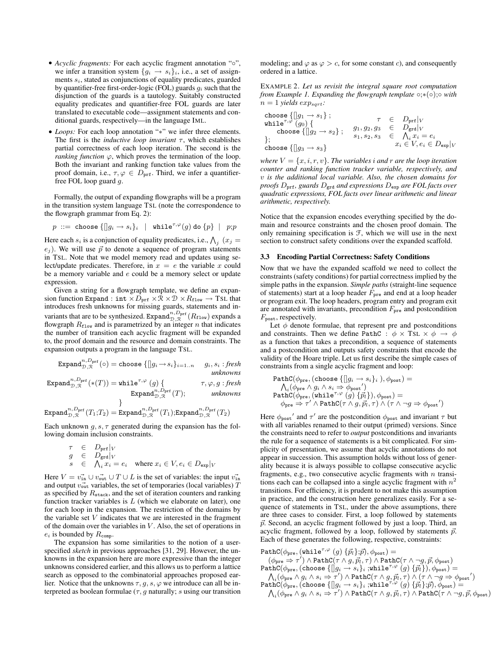- *Acyclic fragments:* For each acyclic fragment annotation "◦", we infer a transition system  ${g_i \rightarrow s_i}_i$ , i.e., a set of assignments  $s_i$ , stated as conjunctions of equality predicates, guarded by quantifier-free first-order-logic (FOL) guards  $q_i$  such that the disjunction of the guards is a tautology. Suitably constructed equality predicates and quantifier-free FOL guards are later translated to executable code—assignment statements and conditional guards, respectively—in the language IML.
- *Loops:* For each loop annotation "∗" we infer three elements. The first is the *inductive loop invariant*  $\tau$ , which establishes partial correctness of each loop iteration. The second is the *ranking function*  $\varphi$ , which proves the termination of the loop. Both the invariant and ranking function take values from the proof domain, i.e.,  $\tau, \varphi \in D_{\text{prf}}$ . Third, we infer a quantifierfree FOL loop guard g.

Formally, the output of expanding flowgraphs will be a program in the transition system language TSL (note the correspondence to the flowgraph grammar from Eq. 2):

$$
p \ ::= \ \texttt{choose} \, \{ [\![g_i \rightarrow s_i]_i \ \mid \ \texttt{while}^{\tau, \varphi}(g) \, \texttt{do} \, \{p\} \ \mid \ p; p
$$

Here each  $s_i$  is a conjunction of equality predicates, i.e.,  $\bigwedge_j (x_j =$  $e_j$ ). We will use  $\vec{p}$  to denote a sequence of program statements in TSL. Note that we model memory read and updates using select/update predicates. Therefore, in  $x = e$  the variable x could be a memory variable and e could be a memory select or update expression.

Given a string for a flowgraph template, we define an expansion function Expand : int  $\times D_{\text{prf}} \times \mathbb{R} \times \mathbb{D} \times R_{\text{flow}} \to \text{TSL}$  that introduces fresh unknowns for missing guards, statements and invariants that are to be synthesized. Expand $_{\mathcal{D}, \mathcal{R}}^{n, D_{\text{prf}}}(R_{\text{flow}})$  expands a flowgraph  $R_{\text{flow}}$  and is parametrized by an integer n that indicates the number of transition each acyclic fragment will be expanded to, the proof domain and the resource and domain constraints. The expansion outputs a program in the language TSL.

$$
\texttt{Expand}_{\mathcal{D}, \mathcal{R}}^{n, D_{\texttt{prf}}}(\circ) = \texttt{choose} \{ []g_i \rightarrow s_i\}_{i=1..n} \quad g_i, s_i : \text{} \text{if } \text{resh}
$$
\n
$$
\text{unknowns}
$$

$$
\begin{array}{ll}\texttt{Expand}_{\mathcal{D},\mathcal{R}}^{n,D_{\text{prf}}}(* (T))=\texttt{while}^{\tau,\varphi}(g) \left\lbrace & \tau,\varphi,g : \textit{fresh} \\ \texttt{Expand}_{\mathcal{D},\mathcal{R}}^{n,D_{\text{prf}}}(T); & \textit{unknowns}\end{array}
$$

$$
\{\texttt{Expand}_{\mathcal{D}, \mathcal{R}}^{n,D_\text{prf}}(T_1; \!T_2) = \texttt{Expand}_{\mathcal{D}, \mathcal{R}}^{n,D_\text{prf}}(T_1); \! \texttt{Expand}_{\mathcal{D}, \mathcal{R}}^{n,D_\text{prf}}(T_2)
$$

Each unknown  $q, s, \tau$  generated during the expansion has the following domain inclusion constraints.

$$
\begin{array}{lll} \tau & \in & D_{\text{prf}}|_V \\ g & \in & D_{\text{grd}}|_V \\ s & \in & \bigwedge_i x_i = e_i \quad \text{where $x_i \in V, e_i \in D_{\text{exp}}|_V$} \end{array}
$$

Here  $V = v_{\text{in}} \cup v_{\text{out}} \cup T \cup L$  is the set of variables: the input  $v_{\text{in}}$ and output  $v_{\text{out}}^{\dagger}$  variables, the set of temporaries (local variables) T as specified by  $R_{\text{stack}}$ , and the set of iteration counters and ranking function tracker variables is  $L$  (which we elaborate on later), one for each loop in the expansion. The restriction of the domains by the variable set  $V$  indicates that we are interested in the fragment of the domain over the variables in  $V$ . Also, the set of operations in  $e_i$  is bounded by  $R_{\text{comp}}$ .

The expansion has some similarities to the notion of a userspecified *sketch* in previous approaches [31, 29]. However, the unknowns in the expansion here are more expressive than the integer unknowns considered earlier, and this allows us to perform a lattice search as opposed to the combinatorial approaches proposed earlier. Notice that the unknowns  $\tau, g, s, \varphi$  we introduce can all be interpreted as boolean formulae ( $\tau$ , g naturally; s using our transition

modeling; and  $\varphi$  as  $\varphi > c$ , for some constant c), and consequently ordered in a lattice.

EXAMPLE 2. *Let us revisit the integral square root computation from Example 1. Expanding the flowgraph template* ◦;∗(◦);◦ *with*  $n = 1$  *yields*  $exp_{sqrt}$ :

$$
\begin{array}{llllll} \texttt{choose} \left[ \left[ g_1 \rightarrow s_1 \right] \right] & \tau & \in & D_{\texttt{prf}} \vert_V \\ \texttt{while}^{\tau,\varphi} \left( g_0 \right) \left\{ & & \tau & \in & D_{\texttt{prf}} \vert_V \\ & \texttt{choose} \left[ \left[ g_2 \rightarrow s_2 \right] \right] & \left. g_1,g_2,g_3 \right. & \in & D_{\texttt{grd}} \vert_V \\ \texttt{cases} & s_1,s_2,s_3 & \in & \bigwedge_i x_i = e_i \\ & x_i \in V, e_i \in D_{\texttt{exp}} \vert_V \end{array}
$$

*where*  $V = \{x, i, r, v\}$ *. The variables i and r are the loop iteration counter and ranking function tracker variable, respectively, and* v *is the additional local variable. Also, the chosen domains for proofs* Dprf*, guards* Dgrd *and expressions* Dexp *are FOL facts over quadratic expressions, FOL facts over linear arithmetic and linear arithmetic, respectively.*

Notice that the expansion encodes everything specified by the domain and resource constraints and the chosen proof domain. The only remaining specification is  $F$ , which we will use in the next section to construct safety conditions over the expanded scaffold.

#### 3.3 Encoding Partial Correctness: Safety Conditions

Now that we have the expanded scaffold we need to collect the constraints (safety conditions) for partial correctness implied by the simple paths in the expansion. *Simple paths* (straight-line sequence of statements) start at a loop header  $F_{\text{pre}}$  and end at a loop header or program exit. The loop headers, program entry and program exit are annotated with invariants, precondition  $F_{\text{pre}}$  and postcondition  $F_{\text{post}}$ , respectively.

Let  $\phi$  denote formulae, that represent pre and postconditions and constraints. Then we define PathC :  $\phi \times$  TSL  $\times \phi \rightarrow \phi$ as a function that takes a precondition, a sequence of statements and a postcondition and outputs safety constraints that encode the validity of the Hoare triple. Let us first describe the simple cases of constraints from a single acyclic fragment and loop:

$$
\begin{array}{l} \mathtt{PathC}(\phi_\mathtt{pre}, (\mathtt{choose}\left\{\left[\right.g_i\rightarrow s_i\right\}_i), \phi_\mathtt{post}) = \\ \begin{array}{c} \bigwedge_i(\phi_\mathtt{pre} \land g_i \land s_i \Rightarrow \phi_\mathtt{post}') \\ \mathtt{PathC}(\phi_\mathtt{pre}, (\mathtt{while}^{\tau,\varphi}\left(g\right)\left\{\vec{p_l}\right\}), \phi_\mathtt{post}) = \\ \phi_\mathtt{pre} \Rightarrow \tau' \land \mathtt{PathC}(\tau \land g, \vec{p_l}, \tau) \land (\tau \land \neg g \Rightarrow \phi_\mathtt{post}') \end{array} \end{array}
$$

Here  $\phi_{\text{post}}'$  and  $\tau'$  are the postcondition  $\phi_{\text{post}}$  and invariant  $\tau$  but with all variables renamed to their output (primed) versions. Since the constraints need to refer to *output* postconditions and invariants the rule for a sequence of statements is a bit complicated. For simplicity of presentation, we assume that acyclic annotations do not appear in succession. This assumption holds without loss of generality because it is always possible to collapse consecutive acyclic fragments, e.g., two consecutive acyclic fragments with  $n$  transitions each can be collapsed into a single acyclic fragment with  $n^2$ transitions. For efficiency, it is prudent to not make this assumption in practice, and the construction here generalizes easily. For a sequence of statements in TSL, under the above assumptions, there are three cases to consider. First, a loop followed by statements  $\vec{p}$ . Second, an acyclic fragment followed by just a loop. Third, an acyclic fragment, followed by a loop, followed by statements  $\vec{p}$ . Each of these generates the following, respective, constraints:

#### PathC( $\phi_{pre}$ , (while<sup> $\tau, \varphi$ </sup> (g)  $\{\vec{p}_l\}; \vec{p}), \phi_{post}$ ) =  $(\phi_{pre} \Rightarrow \tau') \wedge \texttt{PathC}(\tau \wedge g, \vec{p_i}, \tau) \wedge \texttt{PathC}(\tau \wedge \neg g, \vec{p}, \phi_{post})$  $\texttt{PathC}(\phi_\mathtt{pre}, (\texttt{choose} \, \{[]g_i \rightarrow s_i\}_i \, ; \! \mathtt{while}^{\tau, \varphi} \, (g) \, \{\vec{p_l}\}) \hspace{-0.5mm}, \phi_\mathtt{post}) =$  $\bigwedge_i(\phi_\mathtt{pre} \land g_i \land s_i \Rightarrow \tau') \land \mathtt{PathC}(\tau \land g, \vec{p_l}, \tau) \land (\tau \land \neg g \Rightarrow \phi_\mathtt{post}')$  $\texttt{PathC}(\dot{\phi}_{\texttt{pre}}, (\texttt{choose} \operatorname{\{\textsf{[}}]} g_i \rightarrow s_i\}_i \;; \texttt{while}^{\tau,\varphi}$  $\wedge$  $(g)$   $\{\vec{p}_l\};\vec{p}), \phi_{\text{post}}$ ) =  $\hat{p}_i(\phi_\mathtt{pre} \land g_i \land s_i \Rightarrow \tau') \land \mathtt{PathC}(\tau \land g, \vec{p}_i, \tau) \land \mathtt{PathC}(\tau \land \neg g, \vec{p}, \phi_\mathtt{post})$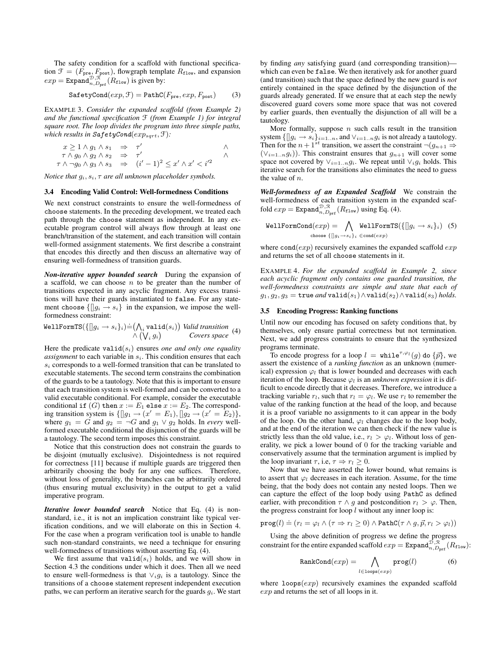The safety condition for a scaffold with functional specification  $\mathcal{F} = (F_{\text{pre}}, F_{\text{post}})$ , flowgraph template  $R_{\text{flow}}$ , and expansion  $exp = \text{Expand}_{n, D_{\text{prf}}}^{\mathcal{D}, \mathcal{R}}(R_{\text{flow}})$  is given by:

$$
\texttt{SafetyCond}(exp, \mathcal{F}) = \texttt{PathC}(F_{\text{pre}}, exp, F_{\text{post}}) \tag{3}
$$

EXAMPLE 3. *Consider the expanded scaffold (from Example 2) and the functional specification* F *(from Example 1) for integral square root. The loop divides the program into three simple paths, which results in SafetyCond*( $exp_{sqrt}$ , *F*):

$$
x \ge 1 \land g_1 \land s_1 \Rightarrow \tau' \land \neg \land g_0 \land g_2 \land s_2 \Rightarrow \tau' \land \neg \land g_0 \land g_3 \land s_3 \Rightarrow (i'-1)^2 \le x' \land x' < i'^2
$$

*Notice that*  $g_i$ ,  $s_i$ , *τ are all unknown placeholder symbols.* 

#### 3.4 Encoding Valid Control: Well-formedness Conditions

We next construct constraints to ensure the well-formedness of choose statements. In the preceding development, we treated each path through the choose statement as independent. In any executable program control will always flow through at least one branch/transition of the statement, and each transition will contain well-formed assignment statements. We first describe a constraint that encodes this directly and then discuss an alternative way of ensuring well-formedness of transition guards.

*Non-iterative upper bounded search* During the expansion of a scaffold, we can choose  $n$  to be greater than the number of transitions expected in any acyclic fragment. Any excess transitions will have their guards instantiated to false. For any statement choose  $\{||g_i \rightarrow s_i\}$  in the expansion, we impose the wellformedness constraint:

$$
\texttt{WellFormTS}(\{[]g_i \rightarrow s_i\}_i) \dot{=} \big(\bigwedge_i \texttt{valid}(s_i)\big) \text{ Valid transition } (4) \\ \wedge \big(\bigvee_i g_i\big) \text{ \textit{Covers space } (4)
$$

Here the predicate valid $(s_i)$  ensures *one and only one equality assignment* to each variable in  $s_i$ . This condition ensures that each  $s_i$  corresponds to a well-formed transition that can be translated to executable statements. The second term constrains the combination of the guards to be a tautology. Note that this is important to ensure that each transition system is well-formed and can be converted to a valid executable conditional. For example, consider the executable conditional if  $(G)$  then  $x := E_1$  else  $x := E_2$ . The corresponding transition system is  $\{[[g_1 \rightarrow (x' = E_1), [[g_2 \rightarrow (x' = E_2)],$ where  $g_1 = G$  and  $g_2 = \neg G$  and  $g_1 \lor g_2$  holds. In *every* wellformed executable conditional the disjunction of the guards will be a tautology. The second term imposes this constraint.

Notice that this construction does not constrain the guards to be disjoint (mutually exclusive). Disjointedness is not required for correctness [11] because if multiple guards are triggered then arbitrarily choosing the body for any one suffices. Therefore, without loss of generality, the branches can be arbitrarily ordered (thus ensuring mutual exclusivity) in the output to get a valid imperative program.

*Iterative lower bounded search* Notice that Eq. (4) is nonstandard, i.e., it is not an implication constraint like typical verification conditions, and we will elaborate on this in Section 4. For the case when a program verification tool is unable to handle such non-standard constraints, we need a technique for ensuring well-formedness of transitions without asserting Eq. (4).

We first assume that valid $(s_i)$  holds, and we will show in Section 4.3 the conditions under which it does. Then all we need to ensure well-formedness is that  $\vee_i g_i$  is a tautology. Since the transitions of a choose statement represent independent execution paths, we can perform an iterative search for the guards  $q_i$ . We start by finding *any* satisfying guard (and corresponding transition) which can even be false. We then iteratively ask for another guard (and transition) such that the space defined by the new guard is *not* entirely contained in the space defined by the disjunction of the guards already generated. If we ensure that at each step the newly discovered guard covers some more space that was not covered by earlier guards, then eventually the disjunction of all will be a tautology.

More formally, suppose  $n$  such calls result in the transition system  $\{\left[\right]g_i \rightarrow s_i\}_{i=1..n}$ , and  $\vee_{i=1..n}g_i$  is not already a tautology. Then for the  $n+1^{st}$  transition, we assert the constraint  $\neg (g_{n+1} \Rightarrow$  $(\vee_{i=1..n} g_i)$ . This constraint ensures that  $g_{n+1}$  will cover some space not covered by  $\vee_{i=1..n} g_i$ . We repeat until  $\vee_i g_i$  holds. This iterative search for the transitions also eliminates the need to guess the value of  $n$ .

*Well-formedness of an Expanded Scaffold* We constrain the well-formedness of each transition system in the expanded scaffold  $exp =$  Expand $_{n,D_{\text{prf}}}^{\mathcal{D}, \mathcal{R}}(R_{\text{flow}})$  using Eq. (4).

$$
\texttt{WellFormCond}(exp) = \bigwedge_{\texttt{choose }([g_i \rightarrow s_i]_i \in \texttt{cond}(exp)} \texttt{WellFormTS}(\{[[g_i \rightarrow s_i]_i) \quad (5)
$$

where  $cond(exp)$  recursively examines the expanded scaffold  $exp$ and returns the set of all choose statements in it.

EXAMPLE 4. *For the expanded scaffold in Example 2, since each acyclic fragment only contains one guarded transition, the well-formedness constraints are simple and state that each of*  $g_1, g_2, g_3$  = true *and* valid(s<sub>1</sub>)  $\wedge$  valid(s<sub>2</sub>)  $\wedge$  valid(s<sub>3</sub>) *holds.* 

#### 3.5 Encoding Progress: Ranking functions

Until now our encoding has focused on safety conditions that, by themselves, only ensure partial correctness but not termination. Next, we add progress constraints to ensure that the synthesized programs terminate.

To encode progress for a loop  $l = \text{while}^{\tau, \varphi_l}(q)$  do  $\{\vec{p}\}\)$ , we assert the existence of a *ranking function* as an unknown (numerical) expression  $\varphi_l$  that is lower bounded and decreases with each iteration of the loop. Because  $\varphi_l$  is an *unknown expression* it is difficult to encode directly that it decreases. Therefore, we introduce a tracking variable  $r_l$ , such that  $r_l = \varphi_l$ . We use  $r_l$  to remember the value of the ranking function at the head of the loop, and because it is a proof variable no assignments to it can appear in the body of the loop. On the other hand,  $\varphi_l$  changes due to the loop body, and at the end of the iteration we can then check if the new value is strictly less than the old value, i.e.,  $r_l > \varphi_l$ . Without loss of generality, we pick a lower bound of 0 for the tracking variable and conservatively assume that the termination argument is implied by the loop invariant  $\tau$ , i.e,  $\tau \Rightarrow r_l \geq 0$ .

Now that we have asserted the lower bound, what remains is to assert that  $\varphi_l$  decreases in each iteration. Assume, for the time being, that the body does not contain any nested loops. Then we can capture the effect of the loop body using PathC as defined earlier, with precondition  $\tau \wedge q$  and postcondition  $r_l > \varphi$ . Then, the progress constraint for loop  $l$  without any inner loop is:

$$
\mathtt{prog}(l) \doteq (r_l = \varphi_l \land (\tau \Rightarrow r_l \geq 0) \land \mathtt{PathC}(\tau \land g, \vec{p}, r_l > \varphi_l))
$$

Using the above definition of progress we define the progress constraint for the entire expanded scaffold  $exp = \text{Expand}_{n,D_{\text{prf}}}^{\mathcal{D},\mathcal{R}}(R_{\text{flow}})$ :

$$
RankCond(exp) = \bigwedge_{l \in \text{loops}(exp)} \text{prog}(l) \tag{6}
$$

where  $\text{loops}(exp)$  recursively examines the expanded scaffold exp and returns the set of all loops in it.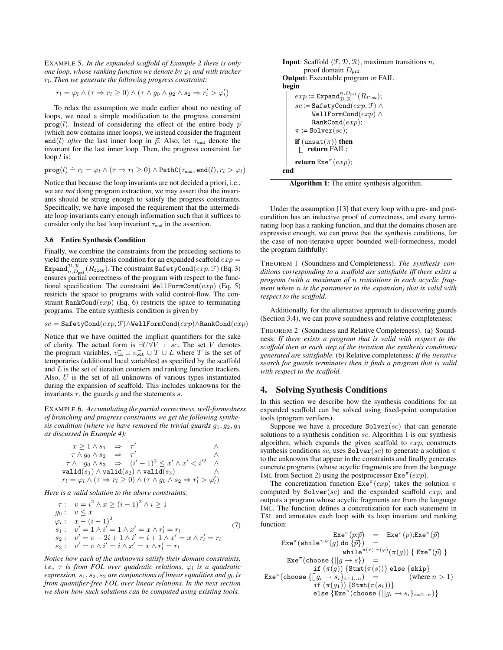EXAMPLE 5. *In the expanded scaffold of Example 2 there is only one loop, whose ranking function we denote by*  $\varphi_l$  *and with tracker*  $r_l$ *. Then we generate the following progress constraint:* 

 $r_l = \varphi_l \wedge (\tau \Rightarrow r_l \ge 0) \wedge (\tau \wedge g_0 \wedge g_2 \wedge s_2 \Rightarrow r'_l > \varphi'_l)$ 

To relax the assumption we made earlier about no nesting of loops, we need a simple modification to the progress constraint  $\text{prog}(l)$ . Instead of considering the effect of the entire body  $\vec{p}$ (which now contains inner loops), we instead consider the fragment end(l) *after* the last inner loop in  $\vec{p}$ . Also, let  $\tau_{end}$  denote the invariant for the last inner loop. Then, the progress constraint for loop  $l$  is:

$$
\texttt{prog}(l) \doteq r_l = \varphi_l \land (\tau \Rightarrow r_l \geq 0) \land \texttt{PathC}(\tau_{\text{end}}, \text{end}(l), r_l > \varphi_l)
$$

Notice that because the loop invariants are not decided a priori, i.e., we are *not* doing program extraction, we may assert that the invariants should be strong enough to satisfy the progress constraints. Specifically, we have imposed the requirement that the intermediate loop invariants carry enough information such that it suffices to consider only the last loop invariant  $\tau_{end}$  in the assertion.

#### 3.6 Entire Synthesis Condition

Finally, we combine the constraints from the preceding sections to yield the entire synthesis condition for an expanded scaffold  $\exp =$  $\mathsf{Expand}_{n,D_\text{prf}}^{\mathcal{D},\mathcal{R}}(R_\text{flow}).$  The constraint  $\mathsf{SafetyCond}(exp,\mathcal{F})$  (Eq. 3) ensures partial correctness of the program with respect to the functional specification. The constraint WellFormCond $(exp)$  (Eq. 5) restricts the space to programs with valid control-flow. The constraint RankCond $(exp)$  (Eq. 6) restricts the space to terminating programs. The entire synthesis condition is given by

 $sc =$ SafetyCond $(exp, \mathcal{F}) \wedge$ WellFormCond $(exp) \wedge$ RankCond $(exp)$ 

Notice that we have omitted the implicit quantifiers for the sake of clarity. The actual form is  $\exists U \forall V$  : sc. The set V denotes the program variables,  $v_{\text{in}} \cup v_{\text{out}} \cup T \cup L$  where T is the set of temporaries (additional local variables) as specified by the scaffold and  $L$  is the set of iteration counters and ranking function trackers. Also, U is the set of all unknowns of various types instantiated during the expansion of scaffold. This includes unknowns for the invariants  $\tau$ , the guards g and the statements s.

EXAMPLE 6. *Accumulating the partial correctness, well-formedness of branching and progress constraints we get the following synthesis condition (where we have removed the trivial guards*  $g_1, g_2, g_3$ *as discussed in Example 4):*

$$
x \geq 1 \land s_1 \Rightarrow \tau' \qquad \land
$$
  
\n
$$
\tau \land g_0 \land s_2 \Rightarrow \tau' \qquad \land
$$
  
\n
$$
\tau \land \neg g_0 \land s_3 \Rightarrow (i'-1)^2 \leq x' \land x' < i'^2 \land
$$
  
\n
$$
\text{valid}(s_1) \land \text{valid}(s_2) \land \text{valid}(s_3) \qquad \land
$$
  
\n
$$
r_l = \varphi_l \land (\tau \Rightarrow r_l \geq 0) \land (\tau \land g_0 \land s_2 \Rightarrow r'_l > \varphi'_l)
$$

*Here is a valid solution to the above constraints:*

$$
\tau: \quad v = i^2 \land x \ge (i - 1)^2 \land i \ge 1
$$
\n
$$
g_0: \quad v \le x
$$
\n
$$
\varphi_i: \quad x - (i - 1)^2
$$
\n
$$
s_1: \quad v' = 1 \land i' = 1 \land x' = x \land r'_i = r_i
$$
\n
$$
s_2: \quad v' = v + 2i + 1 \land i' = i + 1 \land x' = x \land r'_i = r_i
$$
\n
$$
s_3: \quad v' = v \land i' = i \land x' = x \land r'_i = r_i
$$
\n(7)

*Notice how each of the unknowns satisfy their domain constraints, i.e.,*  $\tau$  *is from FOL over quadratic relations,*  $\varphi_l$  *is a quadratic expression,*  $s_1$ ,  $s_2$ ,  $s_2$  *are conjunctions of linear equalities and*  $g_0$  *is from quantifier-free FOL over linear relations. In the next section we show how such solutions can be computed using existing tools.*

**Input:** Scaffold  $\langle \mathcal{F}, \mathcal{D}, \mathcal{R} \rangle$ , maximum transitions n, proof domain  $D_{\text{prf}}$ Output: Executable program or FAIL begin  $exp \coloneqq \text{Expand}_{\mathcal{D}, \mathcal{R}}^{n, D_{\text{prf}}}(R_{\text{flow}});$  $sc :=$  SafetyCond $(exp, \mathcal{F}) \wedge$ WellFormCond $(exp) \wedge$  $\texttt{RankCond}(exp);$  $\pi$  := Solver(sc); if  $(\text{unsat}(\pi))$  then | return FAIL; return  $\text{Exe}^{\pi}(exp);$ end



Under the assumption [13] that every loop with a pre- and postcondition has an inductive proof of correctness, and every terminating loop has a ranking function, and that the domains chosen are expressive enough, we can prove that the synthesis conditions, for the case of non-iterative upper bounded well-formedness, model the program faithfully:

THEOREM 1 (Soundness and Completeness). *The synthesis conditions corresponding to a scaffold are satisfiable iff there exists a program (with a maximum of* n *transitions in each acyclic fragment where* n *is the parameter to the expansion) that is valid with respect to the scaffold.*

Additionally, for the alternative approach to discovering guards (Section 3.4), we can prove soundness and relative completeness:

THEOREM 2 (Soundness and Relative Completeness). (a) Soundness: *If there exists a program that is valid with respect to the scaffold then at each step of the iteration the synthesis conditions generated are satisfiable.* (b) Relative completeness: *If the iterative search for guards terminates then it finds a program that is valid with respect to the scaffold.*

# 4. Solving Synthesis Conditions

In this section we describe how the synthesis conditions for an expanded scaffold can be solved using fixed-point computation tools (program verifiers).

Suppose we have a procedure  $Solver(sc)$  that can generate solutions to a synthesis condition sc. Algorithm 1 is our synthesis algorithm, which expands the given scaffold to  $exp$ , constructs synthesis conditions sc, uses  $Solve(x)$  to generate a solution  $\pi$ to the unknowns that appear in the constraints and finally generates concrete programs (whose acyclic fragments are from the language IML from Section 2) using the postprocessor  $\text{Exe}^{\pi}(exp)$ .

The concretization function  $\text{Exe}^{\pi}(exp)$  takes the solution  $\pi$ computed by  $Solver(sc)$  and the expanded scaffold  $exp$ , and outputs a program whose acyclic fragments are from the language IML. The function defines a concretization for each statement in TSL and annotates each loop with its loop invariant and ranking function:

$$
\begin{array}{rl} \text{Exe}^{\pi}(p;\vec{p})&=&\text{Exe}^{\pi}(p);\text{Exe}^{\pi}(\vec{p})\\ &=&\text{while}^{\pi,\varphi}(g)\text{ do }\{\vec{p}\})=\\\ &\text{while}^{\pi(\tau),\pi(\varphi)}(\pi(g))\text{ }\{\text{Exe}^{\pi}(\vec{p})\text{ }\}\\ &\text{Exe}^{\pi}(\text{choose }[\![g\rightarrow s]\!])&=&\\\ &\text{if }(\pi(g))\text{ }\{\text{Stmt}(\pi(s))\}\text{ else }\{\text{skip}\}\\ \text{Exe}^{\pi}(\text{choose }[\![g_i\rightarrow s_i\}_{i=1..n})&=&(\text{where }n>1)\\\ &\text{if }(\pi(g_1))\text{ }\{\text{Stmt}(\pi(s_1))\}\\ &\text{else }\{\text{Exe}^{\pi}(\text{choose }[\![g_i\rightarrow s_i\}_{i=2..n})\}\end{array}
$$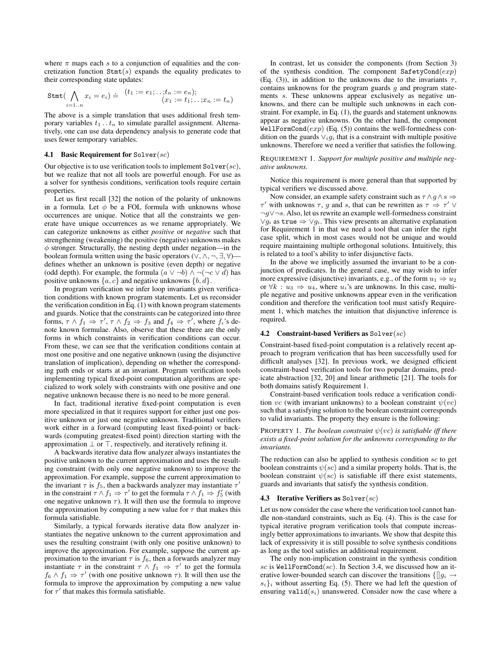where  $\pi$  maps each s to a conjunction of equalities and the concretization function  $\text{Strn}(s)$  expands the equality predicates to their corresponding state updates:

$$
\text{Stmt}(\bigwedge_{i=1..n} x_i = e_i) \doteq \begin{array}{r} (t_1 := e_1; \dots; t_n := e_n); \\ (x_1 := t_1; \dots; x_n := t_n) \end{array}
$$

The above is a simple translation that uses additional fresh temporary variables  $t_1 \ldots t_n$  to simulate parallel assignment. Alternatively, one can use data dependency analysis to generate code that uses fewer temporary variables.

#### 4.1 Basic Requirement for  $Solver(sc)$

Our objective is to use verification tools to implement  $\texttt{Solver}(sc)$ , but we realize that not all tools are powerful enough. For use as a solver for synthesis conditions, verification tools require certain properties.

Let us first recall [32] the notion of the polarity of unknowns in a formula. Let  $\phi$  be a FOL formula with unknowns whose occurrences are unique. Notice that all the constraints we generate have unique occurrences as we rename appropriately. We can categorize unknowns as either *positive* or *negative* such that strengthening (weakening) the positive (negative) unknowns makes  $\phi$  stronger. Structurally, the nesting depth under negation—in the boolean formula written using the basic operators ( $\vee, \wedge, \neg, \exists, \forall$ ) defines whether an unknown is positive (even depth) or negative (odd depth). For example, the formula  $(a \vee \neg b) \wedge \neg (\neg c \vee d)$  has positive unknowns  $\{a, c\}$  and negative unknowns  $\{b, d\}$ .

In program verification we infer loop invariants given verification conditions with known program statements. Let us reconsider the verification condition in Eq. (1) with known program statements and guards. Notice that the constraints can be categorized into three forms,  $\tau \wedge f_1 \Rightarrow \tau', \tau \wedge f_2 \Rightarrow f_3$  and  $f_4 \Rightarrow \tau'$ , where  $f_i$ 's denote known formulae. Also, observe that these three are the only forms in which constraints in verification conditions can occur. From these, we can see that the verification conditions contain at most one positive and one negative unknown (using the disjunctive translation of implication), depending on whether the corresponding path ends or starts at an invariant. Program verification tools implementing typical fixed-point computation algorithms are specialized to work solely with constraints with one positive and one negative unknown because there is no need to be more general.

In fact, traditional iterative fixed-point computation is even more specialized in that it requires support for either just one positive unknown or just one negative unknown. Traditional verifiers work either in a forward (computing least fixed-point) or backwards (computing greatest-fixed point) direction starting with the approximation  $\perp$  or  $\top$ , respectively, and iteratively refining it.

A backwards iterative data flow analyzer always instantiates the positive unknown to the current approximation and uses the resulting constraint (with only one negative unknown) to improve the approximation. For example, suppose the current approximation to the invariant  $\tau$  is  $f_5$ , then a backwards analyzer may instantiate  $\tau'$ in the constraint  $\tau \wedge f_1 \Rightarrow \tau'$  to get the formula  $\tau \wedge f_1 \Rightarrow f'_2$  (with one negative unknown  $\tau$ ). It will then use the formula to improve the approximation by computing a new value for  $\tau$  that makes this formula satisfiable.

Similarly, a typical forwards iterative data flow analyzer instantiates the negative unknown to the current approximation and uses the resulting constraint (with only one positive unknown) to improve the approximation. For example, suppose the current approximation to the invariant  $\tau$  is  $f_6$ , then a forwards analyzer may instantiate  $\tau$  in the constraint  $\tau \wedge f_1 \Rightarrow \tau'$  to get the formula  $f_6 \wedge f_1 \Rightarrow \tau'$  (with one positive unknown  $\tau$ ). It will then use the formula to improve the approximation by computing a new value for  $\tau'$  that makes this formula satisfiable.

In contrast, let us consider the components (from Section 3) of the synthesis condition. The component  $SafetyCond(exp)$ (Eq. (3)), in addition to the unknowns due to the invariants  $\tau$ , contains unknowns for the program guards  $q$  and program statements s. These unknowns appear exclusively as negative unknowns, and there can be multiple such unknowns in each constraint. For example, in Eq. (1), the guards and statement unknowns appear as negative unknowns. On the other hand, the component WellFormCond $(exp)$  (Eq. (5)) contains the well-formedness condition on the guards  $\vee_i g_i$  that is a constraint with multiple positive unknowns. Therefore we need a verifier that satisfies the following.

#### REQUIREMENT 1. *Support for multiple positive and multiple negative unknowns.*

Notice this requirement is more general than that supported by typical verifiers we discussed above.

Now consider, an example safety constraint such as  $\tau \wedge g \wedge s \Rightarrow$  $\tau'$  with unknowns  $\tau$ , g and s, that can be rewritten as  $\tau \Rightarrow \tau' \vee \tau'$ ¬g∨¬s. Also, let us rewrite an example well-formedness constraint  $\forall g_i$  as true  $\Rightarrow \forall g_i$ . This view presents an alternative explanation for Requirement 1 in that we need a tool that can infer the right case split, which in most cases would not be unique and would require maintaining multiple orthogonal solutions. Intuitively, this is related to a tool's ability to infer disjunctive facts.

In the above we implicitly assumed the invariant to be a conjunction of predicates. In the general case, we may wish to infer more expressive (disjunctive) invariants, e.g., of the form  $u_1 \Rightarrow u_2$ or  $\forall k : u_3 \Rightarrow u_4$ , where  $u_i$ 's are unknowns. In this case, multiple negative and positive unknowns appear even in the verification condition and therefore the verification tool must satisfy Requirement 1, which matches the intuition that disjunctive inference is required.

#### 4.2 Constraint-based Verifiers as  $Solver(sc)$

Constraint-based fixed-point computation is a relatively recent approach to program verification that has been successfully used for difficult analyses [32]. In previous work, we designed efficient constraint-based verification tools for two popular domains, predicate abstraction [32, 20] and linear arithmetic [21]. The tools for both domains satisfy Requirement 1.

Constraint-based verification tools reduce a verification condition vc (with invariant unknowns) to a boolean constraint  $\psi(vc)$ such that a satisfying solution to the boolean constraint corresponds to valid invariants. The property they ensure is the following:

PROPERTY 1. *The boolean constraint*  $\psi(vc)$  *is satisfiable iff there exists a fixed-point solution for the unknowns corresponding to the invariants.*

The reduction can also be applied to synthesis condition sc to get boolean constraints  $\psi$ (sc) and a similar property holds. That is, the boolean constraint  $\psi$ (sc) is satisfiable iff there exist statements, guards and invariants that satisfy the synthesis condition.

#### 4.3 Iterative Verifiers as  $Solver(sc)$

Let us now consider the case where the verification tool cannot handle non-standard constraints, such as Eq. (4). This is the case for typical iterative program verification tools that compute increasingly better approximations to invariants. We show that despite this lack of expressivity it is still possible to solve synthesis conditions as long as the tool satisfies an additional requirement.

The only non-implication constraint in the synthesis condition sc is WellFormCond $(sc)$ . In Section 3.4, we discussed how an iterative lower-bounded search can discover the transitions  $\{||g_i \rangle \rightarrow$  $s_i$ <sub>i</sub> without asserting Eq. (5). There we had left the question of ensuring valid $(s_i)$  unanswered. Consider now the case where a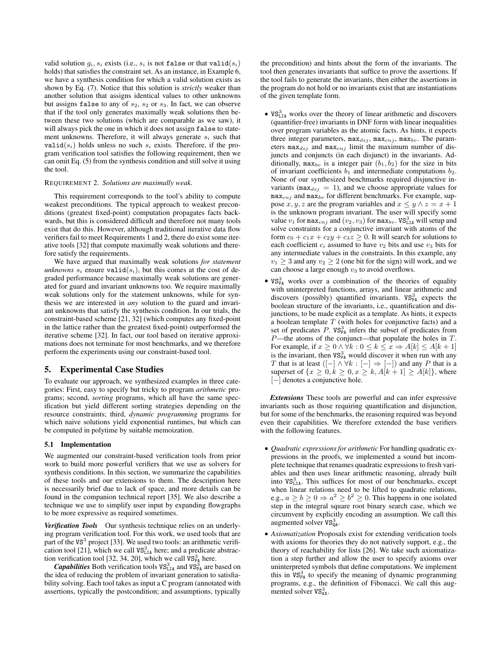valid solution  $g_i, s_i$  exists (i.e.,  $s_i$  is not false or that valid $(s_i)$ ) holds) that satisfies the constraint set. As an instance, in Example 6, we have a synthesis condition for which a valid solution exists as shown by Eq. (7). Notice that this solution is *strictly* weaker than another solution that assigns identical values to other unknowns but assigns false to any of  $s_2$ ,  $s_2$  or  $s_3$ . In fact, we can observe that if the tool only generates maximally weak solutions then between these two solutions (which are comparable as we saw), it will always pick the one in which it does not assign false to statement unknowns. Therefore, it will always generate  $s_i$  such that valid( $s_i$ ) holds unless no such  $s_i$  exists. Therefore, if the program verification tool satisfies the following requirement, then we can omit Eq. (5) from the synthesis condition and still solve it using the tool.

#### REQUIREMENT 2. *Solutions are maximally weak.*

This requirement corresponds to the tool's ability to compute weakest preconditions. The typical approach to weakest preconditions (greatest fixed-point) computation propagates facts backwards, but this is considered difficult and therefore not many tools exist that do this. However, although traditional iterative data flow verifiers fail to meet Requirements 1 and 2, there do exist some iterative tools [32] that compute maximally weak solutions and therefore satisfy the requirements.

We have argued that maximally weak solutions *for statement unknowns*  $s_i$  ensure valid $(s_i)$ , but this comes at the cost of degraded performance because maximally weak solutions are generated for guard and invariant unknowns too. We require maximally weak solutions only for the statement unknowns, while for synthesis we are interested in *any* solution to the guard and invariant unknowns that satisfy the synthesis condition. In our trials, the constraint-based scheme [21, 32] (which computes any fixed-point in the lattice rather than the greatest fixed-point) outperformed the iterative scheme [32]. In fact, our tool based on iterative approximations does not terminate for most benchmarks, and we therefore perform the experiments using our constraint-based tool.

# 5. Experimental Case Studies

To evaluate our approach, we synthesized examples in three categories: First, easy to specify but tricky to program *arithmetic* programs; second, *sorting* programs, which all have the same specification but yield different sorting strategies depending on the resource constraints; third, *dynamic programming* programs for which naive solutions yield exponential runtimes, but which can be computed in polytime by suitable memoization.

#### 5.1 Implementation

We augmented our constraint-based verification tools from prior work to build more powerful verifiers that we use as solvers for synthesis conditions. In this section, we summarize the capabilities of these tools and our extensions to them. The description here is necessarily brief due to lack of space, and more details can be found in the companion technical report [35]. We also describe a technique we use to simplify user input by expanding flowgraphs to be more expressive as required sometimes.

*Verification Tools* Our synthesis technique relies on an underlying program verification tool. For this work, we used tools that are part of the VS<sup>3</sup> project [33]. We used two tools: an arithmetic verification tool [21], which we call  $VS_{LIA}^3$  here; and a predicate abstraction verification tool [32, 34, 20], which we call  $\overline{VS}_{PA}^{3}$  here.

*Capabilities* Both verification tools  $VS_{\text{LIA}}^3$  and  $VS_{\text{PA}}^3$  are based on the idea of reducing the problem of invariant generation to satisfiability solving. Each tool takes as input a C program (annotated with assertions, typically the postcondition; and assumptions, typically the precondition) and hints about the form of the invariants. The tool then generates invariants that suffice to prove the assertions. If the tool fails to generate the invariants, then either the assertions in the program do not hold or no invariants exist that are instantiations of the given template form.

- $VS_{\text{LIA}}^3$  works over the theory of linear arithmetic and discovers (quantifier-free) invariants in DNF form with linear inequalities over program variables as the atomic facts. As hints, it expects three integer parameters,  $max_{dsj}$ ,  $max_{cnj}$ ,  $max_{bv}$ . The parameters max $_{dsj}$  and max $_{cnj}$  limit the maximum number of disjuncts and conjuncts (in each disjunct) in the invariants. Additionally, max<sub>bv</sub> is a integer pair  $(b_1, b_2)$  for the size in bits of invariant coefficients  $b_1$  and intermediate computations  $b_2$ . None of our synthesized benchmarks required disjunctive invariants ( $\max_{dsj} = 1$ ), and we choose appropriate values for  $max_{cnj}$  and  $max_{bv}$  for different benchmarks. For example, suppose x, y, z are the program variables and  $x \leq y \land z = x + 1$ is the unknown program invariant. The user will specify some value  $v_1$  for  $\max_{cnj}$  and  $(v_2, v_3)$  for  $\max_{bv}$ . VS $_{\text{LIA}}^3$  will setup and solve constraints for a conjunctive invariant with atoms of the form  $c_0 + c_1x + c_2y + c_3z \geq 0$ . It will search for solutions to each coefficient  $c_i$  assumed to have  $v_2$  bits and use  $v_3$  bits for any intermediate values in the constraints. In this example, any  $v_1 \geq 3$  and any  $v_2 \geq 2$  (one bit for the sign) will work, and we can choose a large enough  $v_3$  to avoid overflows.
- $VS_{PA}^3$  works over a combination of the theories of equality with uninterpreted functions, arrays, and linear arithmetic and discovers (possibly) quantified invariants.  $VS_{PA}^3$  expects the boolean structure of the invariants, i.e., quantification and disjunctions, to be made explicit as a template. As hints, it expects a boolean template  $T$  (with holes for conjunctive facts) and a set of predicates  $P$ . VS $_{PA}^{3}$  infers the subset of predicates from  $P$ —the atoms of the conjunct—that populate the holes in  $T$ . For example, if  $x \geq 0 \land \forall k : 0 \leq k \leq x \Rightarrow A[k] \leq A[k+1]$ is the invariant, then  $VS_{PA}^3$  would discover it when run with any T that is at least  $([-] \wedge \forall k : [-] \Rightarrow [-])$  and any P that is a superset of  $\{x \geq 0, k \geq 0, x \geq k, A[k+1] \geq A[k]\}$ , where [−] denotes a conjunctive hole.

*Extensions* These tools are powerful and can infer expressive invariants such as those requiring quantification and disjunction, but for some of the benchmarks, the reasoning required was beyond even their capabilities. We therefore extended the base verifiers with the following features.

- *Quadratic expressions for arithmetic* For handling quadratic expressions in the proofs, we implemented a sound but incomplete technique that renames quadratic expressions to fresh variables and then uses linear arithmetic reasoning, already built into  $VS_{LIA}^3$ . This suffices for most of our benchmarks, except when linear relations need to be lifted to quadratic relations, e.g.,  $a \ge b \ge 0 \Rightarrow a^2 \ge b^2 \ge 0$ . This happens in one isolated step in the integral square root binary search case, which we circumvent by explicitly encoding an assumption. We call this augmented solver  $VS_{QA}^3$ .
- *Axiomatization* Proposals exist for extending verification tools with axioms for theories they do not natively support, e.g., the theory of reachability for lists [26]. We take such axiomatization a step further and allow the user to specify axioms over uninterpreted symbols that define computations. We implement this in  $VS_{PA}^{3}$  to specify the meaning of dynamic programming programs, e.g., the definition of Fibonacci. We call this augmented solver  $VS_{AX}^3$ .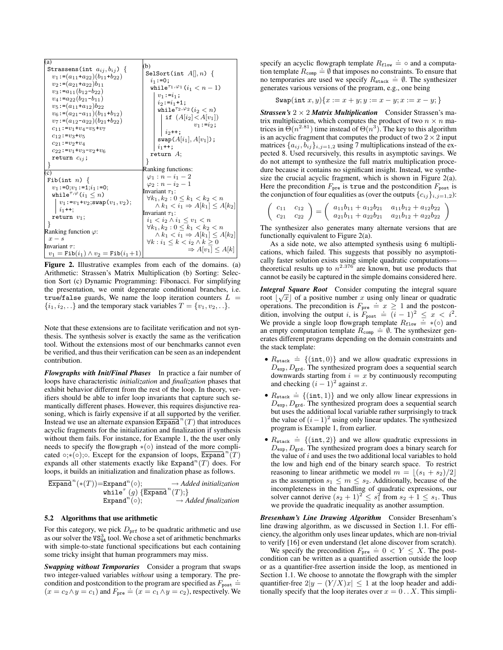| (a)                                                       |                                                                     |
|-----------------------------------------------------------|---------------------------------------------------------------------|
| Strassens(int $a_{ij}, b_{ij}$ ) {                        | (b)                                                                 |
| $v_1$ := $(a_{11}$ + $a_{22})$ $(b_{11}$ + $b_{22})$      | SelSort(int $A  ,n)$ {                                              |
| $v_2:=(a_{21}+a_{22})b_{11}$                              | $i_1 := 0$ :                                                        |
| $v_3$ := $a_{11}(b_{12}-b_{22})$                          | while <sup><math>\tau_1, \varphi_1</math></sup> ( $i_1 < n-1$ )     |
| $v_4$ := $a_{22}(b_{21}-b_{11})$                          | $v_1 := i_1$ ;                                                      |
| $v_5 := (a_{11} + a_{12})b_{22}$                          | $i_2$ : = $i_1$ +1;                                                 |
| $v_6 := (a_{21} - a_{11})(b_{11} + b_{12})$               | while <sup><math>\tau_2,\varphi_2</math></sup> (i <sub>2</sub> < n) |
| $v_7:=(a_{12}-a_{22})(b_{21}+b_{22})$                     | if $(A[i_2] < A[v_1])$                                              |
|                                                           | $v_1 := i_2$ :                                                      |
| $c_{11}$ := $v_1 + v_4 - v_5 + v_7$                       | $i_2$ ++:                                                           |
| $c_{12}$ : = $v_3$ + $v_5$                                | $swap(A[i_1], A[v_1])$ ;                                            |
| $c_{21}$ := $v_2 + v_4$                                   | $i_1 + 1$ :                                                         |
| $c_{22}$ := $v_1 + v_3 - v_2 + v_6$                       | return $A$ ;                                                        |
| return $c_{ij}$ ;                                         |                                                                     |
| $\left\{ \right\}$                                        | Ranking functions:                                                  |
| (c)                                                       | $\varphi_1 : n - i_1 - 2$                                           |
| Fib(int $n$ ) {                                           |                                                                     |
| $v_1 := 0; v_1 := 1; i_1 := 0;$                           | $\varphi_2 : n - i_2 - 1$                                           |
| while <sup><math>\tau, \varphi</math></sup> ( $i_1 < n$ ) | Invariant $\tau_1$ :                                                |
| $v_1 := v_1 + v_2$ ; swap $(v_1, v_2)$ ;                  | $\forall k_1, k_2 : 0 \leq k_1 \leq k_2 \leq n$                     |
| $i_1 + 1$                                                 | $\wedge k_1 \langle i_1 \Rightarrow A[k_1] \leq A[k_2]$             |
| return $v_1$ ;                                            | Invariant $\tau_1$ :                                                |
|                                                           | $i_1 < i_2 \wedge i_1 \leq v_1 < n$                                 |
| Ranking function $\varphi$ :                              | $\forall k_1, k_2 : 0 \leq k_1 \leq k_2 \leq n$                     |
| $x - s$                                                   | $\wedge k_1 \langle i_1 \Rightarrow A   k_1   \langle A   k_2  $    |
|                                                           | $\forall k : i_1 \leq k \leq i_2 \wedge k \geq 0$                   |
| Invariant $\tau$ :                                        | $\Rightarrow$ A v <sub>1</sub>   $\leq$ A[k]                        |
| $v_1 = \text{Fib}(i_1) \wedge v_2 = \text{Fib}(i_1 + 1)$  |                                                                     |

Figure 2. Illustrative examples from each of the domains. (a) Arithmetic: Strassen's Matrix Multiplication (b) Sorting: Selection Sort (c) Dynamic Programming: Fibonacci. For simplifying the presentation, we omit degenerate conditional branches, i.e. true/false guards, We name the loop iteration counters  $L =$  $\{i_1, i_2, \ldots\}$  and the temporary stack variables  $T = \{v_1, v_2, \ldots\}.$ 

Note that these extensions are to facilitate verification and not synthesis. The synthesis solver is exactly the same as the verification tool. Without the extensions most of our benchmarks cannot even be verified, and thus their verification can be seen as an independent contribution.

*Flowgraphs with Init/Final Phases* In practice a fair number of loops have characteristic *initialization* and *finalization* phases that exhibit behavior different from the rest of the loop. In theory, verifiers should be able to infer loop invariants that capture such semantically different phases. However, this requires disjunctive reasoning, which is fairly expensive if at all supported by the verifier. Instead we use an alternate expansion  $\overline{\text{Expand}}^n(T)$  that introduces acyclic fragments for the initialization and finalization if synthesis without them fails. For instance, for Example 1, the the user only needs to specify the flowgraph \*(◦) instead of the more complicated  $\circ; *(\circ); \circ$ . Except for the expansion of loops, Expand<sup>n</sup><sup>(T)</sup> expands all other statements exactly like  $\text{Expand}^n(T)$  does. For loops, it builds an initialization and finalization phase as follows.

Expand<sup>n</sup> (∗(T))=Expand<sup>n</sup> (◦); → *Added initialization* while<sup>τ</sup> (g) {Expand<sup>n</sup> (T);} Expand<sup>n</sup> (◦); → *Added finalization*

# 5.2 Algorithms that use arithmetic

For this category, we pick  $D_{\text{prf}}$  to be quadratic arithmetic and use as our solver the  $VS_{QA}^3$  tool. We chose a set of arithmetic benchmarks with simple-to-state functional specifications but each containing some tricky insight that human programmers may miss.

*Swapping without Temporaries* Consider a program that swaps two integer-valued variables *without* using a temporary. The precondition and postcondition to the program are specified as  $F_{\text{post}} \doteq$  $(x = c_2 \land y = c_1)$  and  $F_{pre} \doteq (x = c_1 \land y = c_2)$ , respectively. We

specify an acyclic flowgraph template  $R_{f1 \text{ow}} \doteq \circ$  and a computaspectry an acyclic how graph template  $R_{\text{comp}} = \emptyset$  and a computation template  $R_{\text{comp}} = \emptyset$  that imposes no constraints. To ensure that non temporaries are used we specify  $R_{\text{stack}} \doteq \emptyset$ . The synthesizer generates various versions of the program, e.g., one being

$$
\texttt{Swap}(\texttt{int } x, y) \{x := x + y; y := x - y; x := x - y; \}
$$

*Strassen's* 2 × 2 *Matrix Multiplication* Consider Strassen's matrix multiplication, which computes the product of two  $n \times n$  matrices in  $\Theta(n^{2.81})$  time instead of  $\Theta(n^3)$ . The key to this algorithm is an acyclic fragment that computes the product of two  $2 \times 2$  input matrices  $\{a_{ij}, b_{ij}\}_{i,j=1,2}$  using 7 multiplications instead of the expected 8. Used recursively, this results in asymptotic savings. We do not attempt to synthesize the full matrix multiplication procedure because it contains no significant insight. Instead, we synthesize the crucial acyclic fragment, which is shown in Figure 2(a). Here the precondition  $F_{\text{pre}}$  is true and the postcondition  $F_{\text{post}}$  is the conjunction of four equalities as (over the outputs  $\{c_{ij}\}_{i,j=1,2}$ ):

$$
\left(\begin{array}{cc} c_{11} & c_{12} \\ c_{21} & c_{22} \end{array}\right) = \left(\begin{array}{cc} a_{11}b_{11} + a_{12}b_{21} & a_{11}b_{12} + a_{12}b_{22} \\ a_{21}b_{11} + a_{22}b_{21} & a_{21}b_{12} + a_{22}b_{22} \end{array}\right)
$$

The synthesizer also generates many alternate versions that are functionally equivalent to Figure 2(a).

As a side note, we also attempted synthesis using 6 multiplications, which failed. This suggests that possibly no asymptotically faster solution exists using simple quadratic computations theoretical results up to  $n^{2.376}$  are known, but use products that cannot be easily be captured in the simple domains considered here.

*Integral Square Root* Consider computing the integral square root  $\lfloor \sqrt{x} \rfloor$  of a positive number x using only linear or quadratic operations. The precondition is  $F_{pre} \doteq x \ge 1$  and the postcondition, involving the output i, is  $F_{\text{post}} = (i-1)^2 \leq x < i^2$ . We provide a single loop flowgraph template  $R_{f,low} \stackrel{\leq}{=} *(\circ)$  and an empty computation template  $R_{\text{comp}} \doteq \emptyset$ . The synthesizer generates different programs depending on the domain constraints and the stack template:

- $R_{\text{stack}} \doteq \{(\text{int}, 0)\}\$  and we allow quadratic expressions in  $D_{\text{exp}}$ ,  $D_{\text{grd}}$ . The synthesized program does a sequential search downwards starting from  $i = x$  by continuously recomputing and checking  $(i - 1)^2$  against x.
- $R_{\text{stack}} \doteq \{(\text{int}, 1)\}\$  and we only allow linear expressions in  $D_{\text{exp}}$ ,  $D_{\text{grd}}$ . The synthesized program does a sequential search but uses the additional local variable rather surprisingly to track the value of  $(i-1)^2$  using only linear updates. The synthesized program is Example 1, from earlier.
- $R_{\text{stack}} \doteq \{(\text{int}, 2)\}\$  and we allow quadratic expressions in  $D_{\text{exp}}$ ,  $D_{\text{erd}}$ . The synthesized program does a binary search for the value of  $i$  and uses the two additional local variables to hold the low and high end of the binary search space. To restrict reasoning to linear arithmetic we model  $m = |(s_1 + s_2)/2|$ as the assumption  $s_1 \leq m \leq s_2$ . Additionally, because of the incompleteness in the handling of quadratic expressions, our solver cannot derive  $(s_2 + 1)^2 \leq s_1^2$  from  $s_2 + 1 \leq s_1$ . Thus we provide the quadratic inequality as another assumption.

*Bresenham's Line Drawing Algorithm* Consider Bresenham's line drawing algorithm, as we discussed in Section 1.1. For efficiency, the algorithm only uses linear updates, which are non-trivial to verify [16] or even understand (let alone discover from scratch).

We specify the precondition  $F_{\text{pre}} \doteq 0 < Y \leq X$ . The postcondition can be written as a quantified assertion outside the loop or as a quantifier-free assertion inside the loop, as mentioned in Section 1.1. We choose to annotate the flowgraph with the simpler quantifier-free  $2|y - (Y/X)x| \le 1$  at the loop header and additionally specify that the loop iterates over  $x = 0$ . X. This simpli-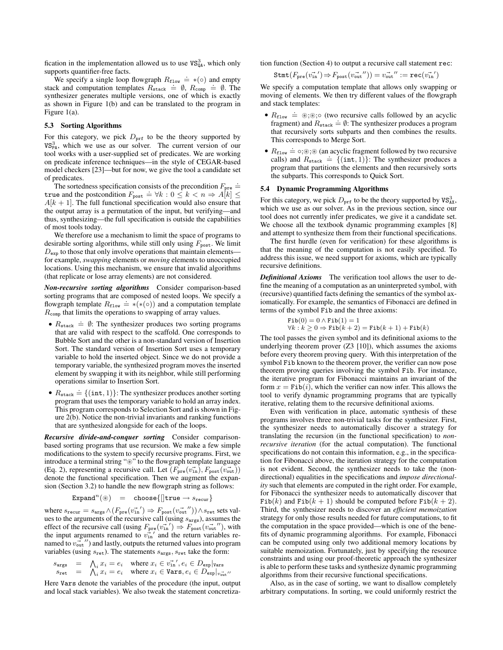fication in the implementation allowed us to use  $VS_{QA}^3$ , which only supports quantifier-free facts.

We specify a single loop flowgraph  $R_{\text{flow}} \doteq *(\circ)$  and empty stack and computation templates  $R_{\text{stack}} = \emptyset$ ,  $R_{\text{comp}} = \emptyset$ . The synthesizer generates multiple versions, one of which is exactly as shown in Figure 1(b) and can be translated to the program in Figure 1(a).

#### 5.3 Sorting Algorithms

For this category, we pick  $D_{\text{prf}}$  to be the theory supported by  $VS_{PA}^3$ , which we use as our solver. The current version of our tool works with a user-supplied set of predicates. We are working on predicate inference techniques—in the style of CEGAR-based model checkers [23]—but for now, we give the tool a candidate set of predicates.

The sortedness specification consists of the precondition  $F_{\text{pre}} \doteq$ The solitances specification consists of the precondition  $F_{\text{pre}} = \text{true}$  and the postcondition  $F_{\text{post}} \doteq \forall k : 0 \leq k < n \Rightarrow A[k] \leq$  $A[k + 1]$ . The full functional specification would also ensure that the output array is a permutation of the input, but verifying—and thus, synthesizing—the full specification is outside the capabilities of most tools today.

We therefore use a mechanism to limit the space of programs to desirable sorting algorithms, while still only using  $F_{\text{post}}$ . We limit  $D_{\text{exp}}$  to those that only involve operations that maintain elements– for example, *swapping* elements or *moving* elements to unoccupied locations. Using this mechanism, we ensure that invalid algorithms (that replicate or lose array elements) are not considered.

*Non-recursive sorting algorithms* Consider comparison-based sorting programs that are composed of nested loops. We specify a sorting programs that are composed or nested loops. We specify a flowgraph template  $R_{\text{flow}} \doteq *(*(\circ))$  and a computation template Rcomp that limits the operations to swapping of array values.

- $R_{\text{stack}} \doteq \emptyset$ : The synthesizer produces two sorting programs that are valid with respect to the scaffold. One corresponds to Bubble Sort and the other is a non-standard version of Insertion Sort. The standard version of Insertion Sort uses a temporary variable to hold the inserted object. Since we do not provide a temporary variable, the synthesized program moves the inserted element by swapping it with its neighbor, while still performing operations similar to Insertion Sort.
- $R_{\text{stack}} \doteq \{(\text{int}, 1)\}\:$ : The synthesizer produces another sorting program that uses the temporary variable to hold an array index. This program corresponds to Selection Sort and is shown in Figure 2(b). Notice the non-trivial invariants and ranking functions that are synthesized alongside for each of the loops.

*Recursive divide-and-conquer sorting* Consider comparisonbased sorting programs that use recursion. We make a few simple modifications to the system to specify recursive programs. First, we introduce a terminal string "®" to the flowgraph template language (Eq. 2), representing a recursive call. Let  $(F_{\text{pre}}(v_{\text{in}}), F_{\text{post}}(v_{\text{out}}))$ denote the functional specification. Then we augment the expansion (Section 3.2) to handle the new flowgraph string as follows:

$$
\texttt{Expand}^n(\circledast) = \texttt{choose}[\texttt{true} \rightarrow s_{\texttt{recv}}]
$$

where  $s_{\text{recur}} = s_{\text{args}} \wedge (F_{\text{pre}}(v_{\text{in}}^{\rightarrow'}) \Rightarrow F_{\text{post}}(v_{\text{out}}^{\rightarrow'})) \wedge s_{\text{ret}}$  sets values to the arguments of the recursive call (using  $s_{\text{args}}$ ), assumes the effect of the recursive call (using  $F_{\text{pre}}(v_{\text{in}}^{\dagger'}) \Rightarrow F_{\text{post}}(v_{\text{out}}^{\dagger''})$ , with the input arguments renamed to  $v_{in}^2$  and the return variables renamed to  $v_{\text{out}}^{\rightarrow}$ ") and lastly, outputs the returned values into program variables (using  $s_{\text{ret}}$ ). The statements  $s_{\text{args}}, s_{\text{ret}}$  take the form:

$$
\begin{array}{lcl} s_{\text{args}} & = & \bigwedge_i x_i = e_i & \text{where } x_i \in v_{\text{in}}^{\prec}, e_i \in D_{\text{exp}}|_{\text{Vars}} \\ s_{\text{ret}} & = & \bigwedge_i x_i = e_i & \text{where } x_i \in \text{Vars}, e_i \in D_{\text{exp}}|_{v_{\text{out}}^{\prec}} \end{array}
$$

Here Vars denote the variables of the procedure (the input, output and local stack variables). We also tweak the statement concretization function (Section 4) to output a recursive call statement rec:

$$
\texttt{Stmt}(F_{\texttt{pre}}(\vec{v_{\texttt{in}}}')\!\Rightarrow\! F_{\texttt{post}}(\vec{v_{\texttt{out}}}''))\!=\!\vec{v_{\texttt{out}}}'':=\texttt{rec}(\vec{v_{\texttt{in}}}')
$$

We specify a computation template that allows only swapping or moving of elements. We then try different values of the flowgraph and stack templates:

- $R_{\text{flow}} \doteq \textcircled{\textcircled{\textcirc}}, \textcircled{\textcircled{\textcirc}}$  (two recursive calls followed by an acyclic  $F_{\text{tflow}} = \mathcal{B}, \mathcal{B}, \mathcal{C}$  (two recursive cans followed by an acyclic fragment) and  $R_{\text{stack}} = \emptyset$ . The synthesizer produces a program that recursively sorts subparts and then combines the results. This corresponds to Merge Sort.
- $R_{\text{flow}} = \circ$ ; $\circledast$ ; $\circledast$  (an acyclic fragment followed by two recursive  $R_{\text{tflow}} = 0.60$ ,  $\omega$  (an acyclic haghlent followed by two recursive calls) and  $R_{\text{stack}} = \{(\text{int}, 1)\}\$ : The synthesizer produces a program that partitions the elements and then recursively sorts the subparts. This corresponds to Quick Sort.

## 5.4 Dynamic Programming Algorithms

For this category, we pick  $D_{\text{prf}}$  to be the theory supported by  $\text{VS}^3_{\text{AX}}$ , which we use as our solver. As in the previous section, since our tool does not currently infer predicates, we give it a candidate set. We choose all the textbook dynamic programming examples [8] and attempt to synthesize them from their functional specifications.

The first hurdle (even for verification) for these algorithms is that the meaning of the computation is not easily specified. To address this issue, we need support for axioms, which are typically recursive definitions.

*Definitional Axioms* The verification tool allows the user to define the meaning of a computation as an uninterpreted symbol, with (recursive) quantified facts defining the semantics of the symbol axiomatically. For example, the semantics of Fibonacci are defined in terms of the symbol Fib and the three axioms:

$$
Fib(0) = 0 \land Fib(1) = 1
$$
  

$$
\forall k : k \ge 0 \Rightarrow Fib(k+2) = Fib(k+1) + Fib(k)
$$

The tool passes the given symbol and its definitional axioms to the underlying theorem prover  $(Z3 [10])$ , which assumes the axioms before every theorem proving query. With this interpretation of the symbol Fib known to the theorem prover, the verifier can now pose theorem proving queries involving the symbol Fib. For instance, the iterative program for Fibonacci maintains an invariant of the form  $x = \text{Fib}(i)$ , which the verifier can now infer. This allows the tool to verify dynamic programming programs that are typically iterative, relating them to the recursive definitional axioms.

Even with verification in place, automatic synthesis of these programs involves three non-trivial tasks for the synthesizer. First, the synthesizer needs to automatically discover a strategy for translating the recursion (in the functional specification) to *nonrecursive iteration* (for the actual computation). The functional specifications do not contain this information, e.g., in the specification for Fibonacci above, the iteration strategy for the computation is not evident. Second, the synthesizer needs to take the (nondirectional) equalities in the specifications and *impose directionality* such that elements are computed in the right order. For example, for Fibonacci the synthesizer needs to automatically discover that  $\text{Fib}(k)$  and  $\text{Fib}(k + 1)$  should be computed before  $\text{Fib}(k + 2)$ . Third, the synthesizer needs to discover an *efficient memoization* strategy for only those results needed for future computations, to fit the computation in the space provided—which is one of the benefits of dynamic programming algorithms. For example, Fibonacci can be computed using only two additional memory locations by suitable memoization. Fortunately, just by specifying the resource constraints and using our proof-theoretic approach the synthesizer is able to perform these tasks and synthesize dynamic programming algorithms from their recursive functional specifications.

Also, as in the case of sorting, we want to disallow completely arbitrary computations. In sorting, we could uniformly restrict the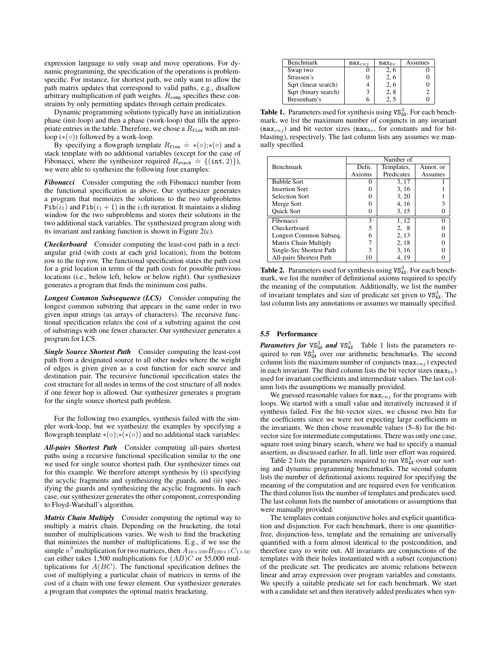expression language to only swap and move operations. For dynamic programming, the specification of the operations is problemspecific. For instance, for shortest path, we only want to allow the path matrix updates that correspond to valid paths, e.g., disallow arbitrary multiplication of path weights.  $R_{\text{comp}}$  specifies these constraints by only permitting updates through certain predicates.

Dynamic programming solutions typically have an initialization phase (init-loop) and then a phase (work-loop) that fills the appropriate entries in the table. Therefore, we chose a  $R_{\text{flow}}$  with an initloop  $(*( \circ ) )$  followed by a work-loop.

By specifying a flowgraph template  $R_{f1ow} \doteq \ast(\circ); \ast(\circ)$  and a stack template with no additional variables (except for the case of Fibonacci, where the synthesizer required  $R_{\text{stack}} \doteq {\text{(int, 2)}}$ , we were able to synthesize the following four examples:

*Fibonacci* Consider computing the nth Fibonacci number from the functional specification as above. Our synthesizer generates a program that memoizes the solutions to the two subproblems  $\text{Fib}(i_1)$  and  $\text{Fib}(i_1 + 1)$  in the  $i_1$ th iteration. It maintains a sliding window for the two subproblems and stores their solutions in the two additional stack variables. The synthesized program along with its invariant and ranking function is shown in Figure 2(c).

*Checkerboard* Consider computing the least-cost path in a rectangular grid (with costs at each grid location), from the bottom row to the top row. The functional specification states the path cost for a grid location in terms of the path costs for possible previous locations (i.e., below left, below or below right). Our synthesizer generates a program that finds the minimum cost paths.

*Longest Common Subsequence (LCS)* Consider computing the longest common substring that appears in the same order in two given input strings (as arrays of characters). The recursive functional specification relates the cost of a substring against the cost of substrings with one fewer character. Our synthesizer generates a program for LCS.

*Single Source Shortest Path* Consider computing the least-cost path from a designated source to all other nodes where the weight of edges is given given as a cost function for each source and destination pair. The recursive functional specification states the cost structure for all nodes in terms of the cost structure of all nodes if one fewer hop is allowed. Our synthesizer generates a program for the single source shortest path problem.

For the following two examples, synthesis failed with the simpler work-loop, but we synthesize the examples by specifying a flowgraph template  $*(\circ);*(*(\circ))$  and no additional stack variables:

*All-pairs Shortest Path* Consider computing all-pairs shortest paths using a recursive functional specification similar to the one we used for single source shortest path. Our synthesizer times out for this example. We therefore attempt synthesis by (i) specifying the acyclic fragments and synthesizing the guards, and (ii) specifying the guards and synthesizing the acyclic fragments. In each case, our synthesizer generates the other component, corresponding to Floyd-Warshall's algorithm.

*Matrix Chain Multiply* Consider computing the optimal way to multiply a matrix chain. Depending on the bracketing, the total number of multiplications varies. We wish to find the bracketing that minimizes the number of multiplications. E.g., if we use the simple  $n^3$  multiplication for two matrices, then  $A_{10\times100}B_{100\times1}C_{1\times50}$ can either takes 1,500 multiplications for  $(AB)C$  or 55,000 multiplications for  $A(BC)$ . The functional specification defines the cost of multiplying a particular chain of matrices in terms of the cost of a chain with one fewer element. Our synthesizer generates a program that computes the optimal matrix bracketing.

| Benchmark            | $max_{cn,i}$ | max <sub>h</sub> | Assumes |
|----------------------|--------------|------------------|---------|
| Swap two             |              | 2, 6             |         |
| Strassen's           |              | 2, 6             |         |
| Sqrt (linear search) |              | 2, 6             |         |
| Sqrt (binary search) |              | 2,8              |         |
| Bresenham's          |              |                  |         |

**Table 1.** Parameters used for synthesis using  $VS_{QA}^3$ . For each benchmark, we list the maximum number of conjuncts in any invariant  $(\max_{cnj})$  and bit vector sizes ( $\max_{bv}$ , for constants and for bitblasting), respectively. The last column lists any assumes we manually specified.

|                          | Number of |            |           |
|--------------------------|-----------|------------|-----------|
| <b>Benchmark</b>         | Defn.     | Templates, | Annot. or |
|                          | Axioms    | Predicates | Assumes   |
| <b>Bubble Sort</b>       | $\theta$  | 3, 17      |           |
| <b>Insertion Sort</b>    |           | 3, 16      |           |
| Selection Sort           |           | 3, 20      |           |
| Merge Sort               |           | 4, 16      |           |
| <b>Ouick Sort</b>        |           | 3, 15      |           |
| Fibonacci                | 3         | 1.12       |           |
| Checkerboard             | 5         | 2, 8       |           |
| Longest Common Subseq.   | 6         | 2, 13      |           |
| Matrix Chain Multiply    |           | 2, 18      |           |
| Single-Src Shortest Path | 3         | 3, 16      |           |
| All-pairs Shortest Path  | 10        | 4, 19      |           |

**Table 2.** Parameters used for synthesis using  $VS_{AX}^3$ . For each benchmark, we list the number of definitional axioms required to specify the meaning of the computation. Additionally, we list the number of invariant templates and size of predicate set given to  $VS_{AX}^3$ . The last column lists any annotations or assumes we manually specified.

#### 5.5 Performance

*Parameters for*  $VS_{QA}^3$  *and*  $VS_{AX}^3$  *Table 1 lists the parameters re*quired to run  $VS_{QA}^{3}$  over our arithmetic benchmarks. The second column lists the maximum number of conjuncts  $(\max_{cnj})$  expected in each invariant. The third column lists the bit vector sizes ( $\max_{bv}$ ) used for invariant coefficients and intermediate values. The last column lists the assumptions we manually provided.

We guessed reasonable values for  $max_{cnj}$  for the programs with loops. We started with a small value and iteratively increased it if synthesis failed. For the bit-vector sizes, we choose two bits for the coefficients since we were not expecting large coefficients in the invariants. We then chose reasonable values (5–8) for the bitvector size for intermediate computations. There was only one case, square root using binary search, where we had to specify a manual assertion, as discussed earlier. In all, little user effort was required.

Table 2 lists the parameters required to run  $VS_{AX}^3$  over our sorting and dynamic programming benchmarks. The second column lists the number of definitional axioms required for specifying the meaning of the computation and are required even for verification. The third column lists the number of templates and predicates used. The last column lists the number of annotations or assumptions that were manually provided.

The templates contain conjunctive holes and explicit quantification and disjunction. For each benchmark, there is one quantifierfree, disjunction-less, template and the remaining are universally quantified with a form almost identical to the postcondition, and therefore easy to write out. All invariants are conjunctions of the templates with their holes instantiated with a subset (conjunction) of the predicate set. The predicates are atomic relations between linear and array expression over program variables and constants. We specify a suitable predicate set for each benchmark. We start with a candidate set and then iteratively added predicates when syn-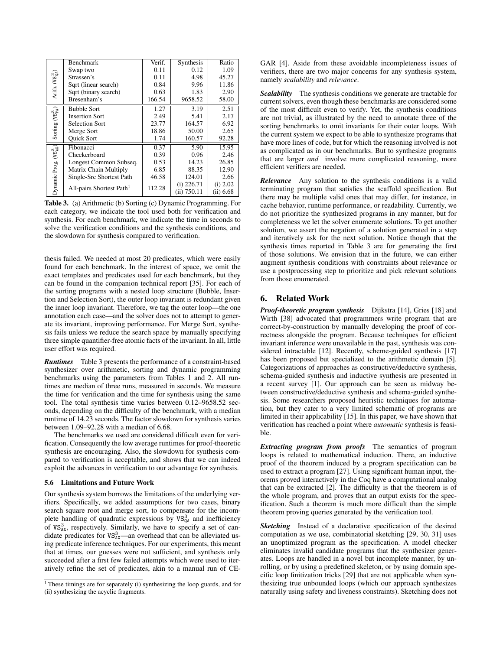|                                 | <b>Benchmark</b>                     | Verif. | Synthesis                     | Ratio                 |
|---------------------------------|--------------------------------------|--------|-------------------------------|-----------------------|
|                                 | Swap two                             | 0.11   | 0.12                          | 1.09                  |
| $(VS_{QA}^3)$                   | Strassen's                           | 0.11   | 4.98                          | 45.27                 |
|                                 | Sqrt (linear search)                 | 0.84   | 9.96                          | 11.86                 |
| Arith.                          | Sqrt (binary search)                 | 0.63   | 1.83                          | 2.90                  |
|                                 | Bresenham's                          | 166.54 | 9658.52                       | 58.00                 |
|                                 | <b>Bubble Sort</b>                   | 1.27   | 3.19                          | 2.51                  |
| $(\mathsf{VS}_{\mathsf{PA}}^3)$ | <b>Insertion Sort</b>                | 2.49   | 5.41                          | 2.17                  |
|                                 | Selection Sort                       | 23.77  | 164.57                        | 6.92                  |
| Sorting (                       | Merge Sort                           | 18.86  | 50.00                         | 2.65                  |
|                                 | <b>Ouick Sort</b>                    | 1.74   | 160.57                        | 92.28                 |
| $(V_{AA}^3)$                    | Fibonacci                            | 0.37   | 5.90                          | 15.95                 |
|                                 | Checkerboard                         | 0.39   | 0.96                          | 2.46                  |
|                                 | Longest Common Subseq.               | 0.53   | 14.23                         | 26.85                 |
|                                 | Matrix Chain Multiply                | 6.85   | 88.35                         | 12.90                 |
|                                 | Single-Src Shortest Path             | 46.58  | 124.01                        | 2.66                  |
| Dynamic Prog.                   | All-pairs Shortest Path <sup>1</sup> | 112.28 | $(i)$ 226.71<br>$(ii)$ 750.11 | (i) 2.02<br>(ii) 6.68 |

Table 3. (a) Arithmetic (b) Sorting (c) Dynamic Programming. For each category, we indicate the tool used both for verification and synthesis. For each benchmark, we indicate the time in seconds to solve the verification conditions and the synthesis conditions, and the slowdown for synthesis compared to verification.

thesis failed. We needed at most 20 predicates, which were easily found for each benchmark. In the interest of space, we omit the exact templates and predicates used for each benchmark, but they can be found in the companion technical report [35]. For each of the sorting programs with a nested loop structure (Bubble, Insertion and Selection Sort), the outer loop invariant is redundant given the inner loop invariant. Therefore, we tag the outer loop—the one annotation each case—and the solver does not to attempt to generate its invariant, improving performance. For Merge Sort, synthesis fails unless we reduce the search space by manually specifying three simple quantifier-free atomic facts of the invariant. In all, little user effort was required.

*Runtimes* Table 3 presents the performance of a constraint-based synthesizer over arithmetic, sorting and dynamic programming benchmarks using the parameters from Tables 1 and 2. All runtimes are median of three runs, measured in seconds. We measure the time for verification and the time for synthesis using the same tool. The total synthesis time varies between 0.12–9658.52 seconds, depending on the difficulty of the benchmark, with a median runtime of 14.23 seconds. The factor slowdown for synthesis varies between 1.09–92.28 with a median of 6.68.

The benchmarks we used are considered difficult even for verification. Consequently the low average runtimes for proof-theoretic synthesis are encouraging. Also, the slowdown for synthesis compared to verification is acceptable, and shows that we can indeed exploit the advances in verification to our advantage for synthesis.

#### 5.6 Limitations and Future Work

Our synthesis system borrows the limitations of the underlying verifiers. Specifically, we added assumptions for two cases, binary search square root and merge sort, to compensate for the incomplete handling of quadratic expressions by  $VS_{QA}^3$  and inefficiency of  $VS_{AX}^3$ , respectively. Similarly, we have to specify a set of candidate predicates for  $VS_{AX}^{3}$ —an overhead that can be alleviated using predicate inference techniques. For our experiments, this meant that at times, our guesses were not sufficient, and synthesis only succeeded after a first few failed attempts which were used to iteratively refine the set of predicates, akin to a manual run of CE-

GAR [4]. Aside from these avoidable incompleteness issues of verifiers, there are two major concerns for any synthesis system, namely *scalability* and *relevance*.

*Scalability* The synthesis conditions we generate are tractable for current solvers, even though these benchmarks are considered some of the most difficult even to verify. Yet, the synthesis conditions are not trivial, as illustrated by the need to annotate three of the sorting benchmarks to omit invariants for their outer loops. With the current system we expect to be able to synthesize programs that have more lines of code, but for which the reasoning involved is not as complicated as in our benchmarks. But to synthesize programs that are larger *and* involve more complicated reasoning, more efficient verifiers are needed.

*Relevance* Any solution to the synthesis conditions is a valid terminating program that satisfies the scaffold specification. But there may be multiple valid ones that may differ, for instance, in cache behavior, runtime performance, or readability. Currently, we do not prioritize the synthesized programs in any manner, but for completeness we let the solver enumerate solutions. To get another solution, we assert the negation of a solution generated in a step and iteratively ask for the next solution. Notice though that the synthesis times reported in Table 3 are for generating the first of those solutions. We envision that in the future, we can either augment synthesis conditions with constraints about relevance or use a postprocessing step to prioritize and pick relevant solutions from those enumerated.

# 6. Related Work

*Proof-theoretic program synthesis* Dijkstra [14], Gries [18] and Wirth [38] advocated that programmers write program that are correct-by-construction by manually developing the proof of correctness alongside the program. Because techniques for efficient invariant inference were unavailable in the past, synthesis was considered intractable [12]. Recently, scheme-guided synthesis [17] has been proposed but specialized to the arithmetic domain [5]. Categorizations of approaches as constructive/deductive synthesis, schema-guided synthesis and inductive synthesis are presented in a recent survey [1]. Our approach can be seen as midway between constructive/deductive synthesis and schema-guided synthesis. Some researchers proposed heuristic techniques for automation, but they cater to a very limited schematic of programs are limited in their applicability [15]. In this paper, we have shown that verification has reached a point where *automatic* synthesis is feasible.

*Extracting program from proofs* The semantics of program loops is related to mathematical induction. There, an inductive proof of the theorem induced by a program specification can be used to extract a program [27]. Using significant human input, theorems proved interactively in the Coq have a computational analog that can be extracted [2]. The difficulty is that the theorem is of the whole program, and proves that an output exists for the specification. Such a theorem is much more difficult than the simple theorem proving queries generated by the verification tool.

*Sketching* Instead of a declarative specification of the desired computation as we use, combinatorial sketching [29, 30, 31] uses an unoptimized program as the specification. A model checker eliminates invalid candidate programs that the synthesizer generates. Loops are handled in a novel but incomplete manner, by unrolling, or by using a predefined skeleton, or by using domain specific loop finitization tricks [29] that are not applicable when synthesizing true unbounded loops (which our approach synthesizes naturally using safety and liveness constraints). Sketching does not

<sup>&</sup>lt;sup>1</sup> These timings are for separately (i) synthesizing the loop guards, and for (ii) synthesizing the acyclic fragments.